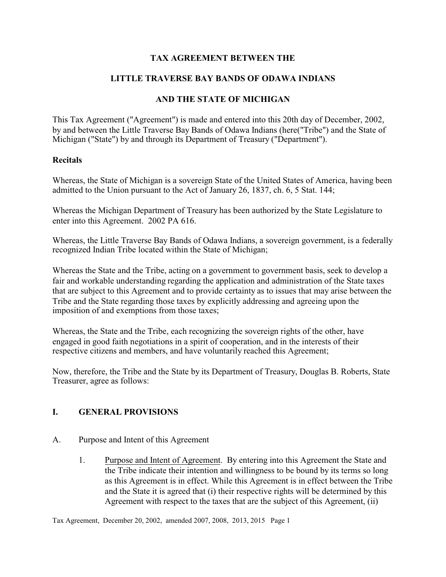## **TAX AGREEMENT BETWEEN THE**

## **LITTLE TRAVERSE BAY BANDS OF ODAWA INDIANS**

## **AND THE STATE OF MICHIGAN**

This Tax Agreement ("Agreement") is made and entered into this 20th day of December, 2002, by and between the Little Traverse Bay Bands of Odawa Indians (here("Tribe") and the State of Michigan ("State") by and through its Department of Treasury ("Department").

#### **Recitals**

Whereas, the State of Michigan is a sovereign State of the United States of America, having been admitted to the Union pursuant to the Act of January 26, 1837, ch. 6, 5 Stat. 144;

Whereas the Michigan Department of Treasury has been authorized by the State Legislature to enter into this Agreement. 2002 PA 616.

Whereas, the Little Traverse Bay Bands of Odawa Indians, a sovereign government, is a federally recognized Indian Tribe located within the State of Michigan;

Whereas the State and the Tribe, acting on a government to government basis, seek to develop a fair and workable understanding regarding the application and administration of the State taxes that are subject to this Agreement and to provide certainty as to issues that may arise between the Tribe and the State regarding those taxes by explicitly addressing and agreeing upon the imposition of and exemptions from those taxes;

Whereas, the State and the Tribe, each recognizing the sovereign rights of the other, have engaged in good faith negotiations in a spirit of cooperation, and in the interests of their respective citizens and members, and have voluntarily reached this Agreement;

Now, therefore, the Tribe and the State by its Department of Treasury, Douglas B. Roberts, State Treasurer, agree as follows:

#### **I. GENERAL PROVISIONS**

- A. Purpose and Intent of this Agreement
	- 1. Purpose and Intent of Agreement. By entering into this Agreement the State and the Tribe indicate their intention and willingness to be bound by its terms so long as this Agreement is in effect. While this Agreement is in effect between the Tribe and the State it is agreed that (i) their respective rights will be determined by this Agreement with respect to the taxes that are the subject of this Agreement, (ii)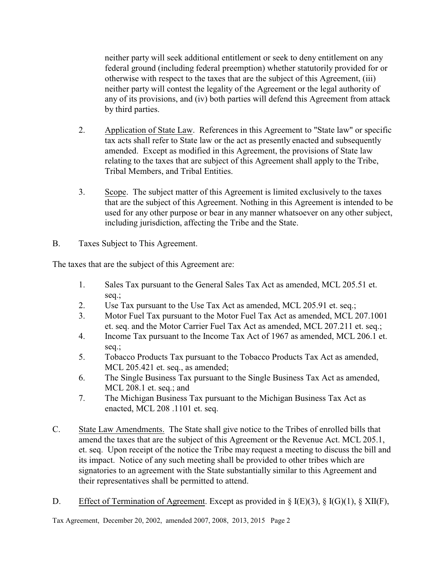neither party will seek additional entitlement or seek to deny entitlement on any federal ground (including federal preemption) whether statutorily provided for or otherwise with respect to the taxes that are the subject of this Agreement, (iii) neither party will contest the legality of the Agreement or the legal authority of any of its provisions, and (iv) both parties will defend this Agreement from attack by third parties.

- 2. Application of State Law. References in this Agreement to "State law" or specific tax acts shall refer to State law or the act as presently enacted and subsequently amended. Except as modified in this Agreement, the provisions of State law relating to the taxes that are subject of this Agreement shall apply to the Tribe, Tribal Members, and Tribal Entities.
- 3. Scope. The subject matter of this Agreement is limited exclusively to the taxes that are the subject of this Agreement. Nothing in this Agreement is intended to be used for any other purpose or bear in any manner whatsoever on any other subject, including jurisdiction, affecting the Tribe and the State.
- B. Taxes Subject to This Agreement.

The taxes that are the subject of this Agreement are:

- 1. Sales Tax pursuant to the General Sales Tax Act as amended, MCL 205.51 et. seq.;
- 2. Use Tax pursuant to the Use Tax Act as amended, MCL 205.91 et. seq.;
- 3. Motor Fuel Tax pursuant to the Motor Fuel Tax Act as amended, MCL 207.1001 et. seq. and the Motor Carrier Fuel Tax Act as amended, MCL 207.211 et. seq.;
- 4. Income Tax pursuant to the Income Tax Act of 1967 as amended, MCL 206.1 et. seq.;
- 5. Tobacco Products Tax pursuant to the Tobacco Products Tax Act as amended, MCL 205.421 et. seq., as amended;
- 6. The Single Business Tax pursuant to the Single Business Tax Act as amended, MCL 208.1 et. seq.; and
- 7. The Michigan Business Tax pursuant to the Michigan Business Tax Act as enacted, MCL 208 .1101 et. seq.
- C. State Law Amendments. The State shall give notice to the Tribes of enrolled bills that amend the taxes that are the subject of this Agreement or the Revenue Act. MCL 205.1, et. seq. Upon receipt of the notice the Tribe may request a meeting to discuss the bill and its impact. Notice of any such meeting shall be provided to other tribes which are signatories to an agreement with the State substantially similar to this Agreement and their representatives shall be permitted to attend.
- D. Effect of Termination of Agreement. Except as provided in § I(E)(3), § I(G)(1), § XII(F),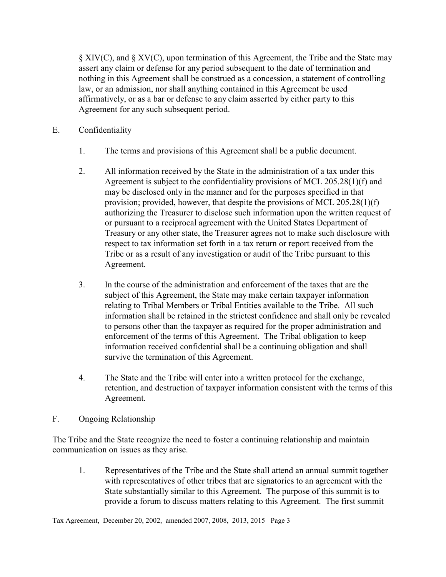§ XIV(C), and § XV(C), upon termination of this Agreement, the Tribe and the State may assert any claim or defense for any period subsequent to the date of termination and nothing in this Agreement shall be construed as a concession, a statement of controlling law, or an admission, nor shall anything contained in this Agreement be used affirmatively, or as a bar or defense to any claim asserted by either party to this Agreement for any such subsequent period.

- E. Confidentiality
	- 1. The terms and provisions of this Agreement shall be a public document.
	- 2. All information received by the State in the administration of a tax under this Agreement is subject to the confidentiality provisions of MCL 205.28(1)(f) and may be disclosed only in the manner and for the purposes specified in that provision; provided, however, that despite the provisions of MCL 205.28(1)(f) authorizing the Treasurer to disclose such information upon the written request of or pursuant to a reciprocal agreement with the United States Department of Treasury or any other state, the Treasurer agrees not to make such disclosure with respect to tax information set forth in a tax return or report received from the Tribe or as a result of any investigation or audit of the Tribe pursuant to this Agreement.
	- 3. In the course of the administration and enforcement of the taxes that are the subject of this Agreement, the State may make certain taxpayer information relating to Tribal Members or Tribal Entities available to the Tribe. All such information shall be retained in the strictest confidence and shall only be revealed to persons other than the taxpayer as required for the proper administration and enforcement of the terms of this Agreement. The Tribal obligation to keep information received confidential shall be a continuing obligation and shall survive the termination of this Agreement.
	- 4. The State and the Tribe will enter into a written protocol for the exchange, retention, and destruction of taxpayer information consistent with the terms of this Agreement.
- F. Ongoing Relationship

The Tribe and the State recognize the need to foster a continuing relationship and maintain communication on issues as they arise.

1. Representatives of the Tribe and the State shall attend an annual summit together with representatives of other tribes that are signatories to an agreement with the State substantially similar to this Agreement. The purpose of this summit is to provide a forum to discuss matters relating to this Agreement. The first summit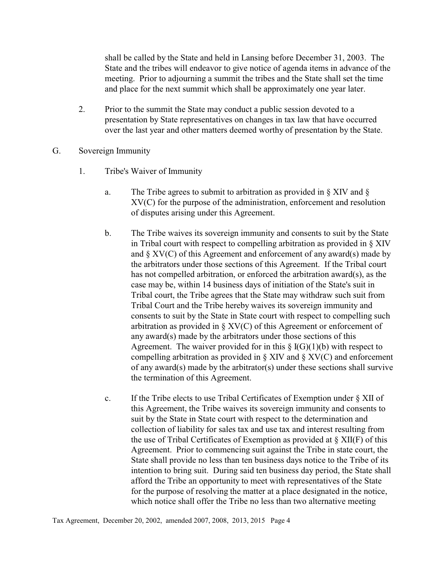shall be called by the State and held in Lansing before December 31, 2003. The State and the tribes will endeavor to give notice of agenda items in advance of the meeting. Prior to adjourning a summit the tribes and the State shall set the time and place for the next summit which shall be approximately one year later.

- 2. Prior to the summit the State may conduct a public session devoted to a presentation by State representatives on changes in tax law that have occurred over the last year and other matters deemed worthy of presentation by the State.
- G. Sovereign Immunity
	- 1. Tribe's Waiver of Immunity
		- a. The Tribe agrees to submit to arbitration as provided in § XIV and § XV(C) for the purpose of the administration, enforcement and resolution of disputes arising under this Agreement.
		- b. The Tribe waives its sovereign immunity and consents to suit by the State in Tribal court with respect to compelling arbitration as provided in § XIV and  $\S XV(C)$  of this Agreement and enforcement of any award(s) made by the arbitrators under those sections of this Agreement. If the Tribal court has not compelled arbitration, or enforced the arbitration award(s), as the case may be, within 14 business days of initiation of the State's suit in Tribal court, the Tribe agrees that the State may withdraw such suit from Tribal Court and the Tribe hereby waives its sovereign immunity and consents to suit by the State in State court with respect to compelling such arbitration as provided in § XV(C) of this Agreement or enforcement of any award(s) made by the arbitrators under those sections of this Agreement. The waiver provided for in this  $\S$  I(G)(1)(b) with respect to compelling arbitration as provided in  $\S$  XIV and  $\S$  XV(C) and enforcement of any award(s) made by the arbitrator(s) under these sections shall survive the termination of this Agreement.
		- c. If the Tribe elects to use Tribal Certificates of Exemption under § XII of this Agreement, the Tribe waives its sovereign immunity and consents to suit by the State in State court with respect to the determination and collection of liability for sales tax and use tax and interest resulting from the use of Tribal Certificates of Exemption as provided at  $\S$  XII(F) of this Agreement. Prior to commencing suit against the Tribe in state court, the State shall provide no less than ten business days notice to the Tribe of its intention to bring suit. During said ten business day period, the State shall afford the Tribe an opportunity to meet with representatives of the State for the purpose of resolving the matter at a place designated in the notice, which notice shall offer the Tribe no less than two alternative meeting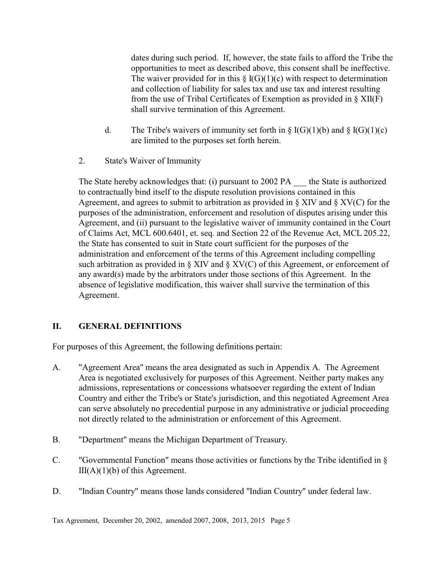dates during such period. If, however, the state fails to afford the Tribe the opportunities to meet as described above, this consent shall be ineffective. The waiver provided for in this  $\S I(G)(1)(c)$  with respect to determination and collection of liability for sales tax and use tax and interest resulting from the use of Tribal Certificates of Exemption as provided in § XII(F) shall survive termination of this Agreement.

- d. The Tribe's waivers of immunity set forth in  $\S$  I(G)(1)(b) and  $\S$  I(G)(1)(c) are limited to the purposes set forth herein.
- 2. State's Waiver of Immunity

The State hereby acknowledges that: (i) pursuant to 2002 PA — the State is authorized to contractually bind itself to the dispute resolution provisions contained in this Agreement, and agrees to submit to arbitration as provided in  $\S$  XIV and  $\S$  XV(C) for the purposes of the administration, enforcement and resolution of disputes arising under this Agreement, and (ii) pursuant to the legislative waiver of immunity contained in the Court of Claims Act, MCL 600.6401, et. seq. and Section 22 of the Revenue Act, MCL 205.22, the State has consented to suit in State court sufficient for the purposes of the administration and enforcement of the terms of this Agreement including compelling such arbitration as provided in  $\S$  XIV and  $\S$  XV(C) of this Agreement, or enforcement of any award(s) made by the arbitrators under those sections of this Agreement. In the absence of legislative modification, this waiver shall survive the termination of this Agreement.

# **II. GENERAL DEFINITIONS**

For purposes of this Agreement, the following definitions pertain:

- A. "Agreement Area" means the area designated as such in Appendix A. The Agreement Area is negotiated exclusively for purposes of this Agreement. Neither party makes any admissions, representations or concessions whatsoever regarding the extent of Indian Country and either the Tribe's or State's jurisdiction, and this negotiated Agreement Area can serve absolutely no precedential purpose in any administrative or judicial proceeding not directly related to the administration or enforcement of this Agreement.
- B. "Department" means the Michigan Department of Treasury.
- C. "Governmental Function" means those activities or functions by the Tribe identified in §  $III(A)(1)(b)$  of this Agreement.
- D. "Indian Country" means those lands considered "Indian Country" under federal law.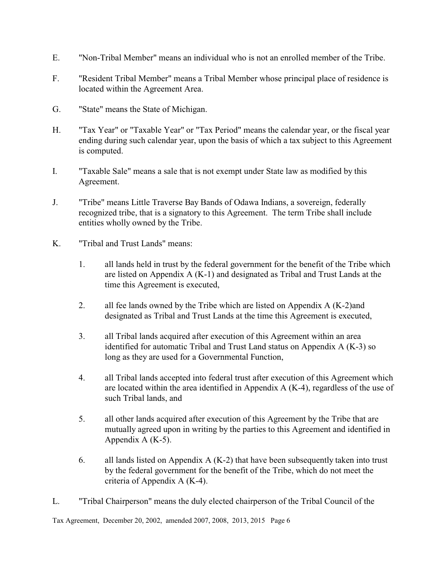- E. "Non-Tribal Member" means an individual who is not an enrolled member of the Tribe.
- F. "Resident Tribal Member" means a Tribal Member whose principal place of residence is located within the Agreement Area.
- G. "State" means the State of Michigan.
- H. "Tax Year" or "Taxable Year" or "Tax Period" means the calendar year, or the fiscal year ending during such calendar year, upon the basis of which a tax subject to this Agreement is computed.
- I. "Taxable Sale" means a sale that is not exempt under State law as modified by this Agreement.
- J. "Tribe" means Little Traverse Bay Bands of Odawa Indians, a sovereign, federally recognized tribe, that is a signatory to this Agreement. The term Tribe shall include entities wholly owned by the Tribe.
- K. "Tribal and Trust Lands" means:
	- 1. all lands held in trust by the federal government for the benefit of the Tribe which are listed on Appendix A (K-1) and designated as Tribal and Trust Lands at the time this Agreement is executed,
	- 2. all fee lands owned by the Tribe which are listed on Appendix A (K-2)and designated as Tribal and Trust Lands at the time this Agreement is executed,
	- 3. all Tribal lands acquired after execution of this Agreement within an area identified for automatic Tribal and Trust Land status on Appendix A (K-3) so long as they are used for a Governmental Function,
	- 4. all Tribal lands accepted into federal trust after execution of this Agreement which are located within the area identified in Appendix A (K-4), regardless of the use of such Tribal lands, and
	- 5. all other lands acquired after execution of this Agreement by the Tribe that are mutually agreed upon in writing by the parties to this Agreement and identified in Appendix A (K-5).
	- 6. all lands listed on Appendix A (K-2) that have been subsequently taken into trust by the federal government for the benefit of the Tribe, which do not meet the criteria of Appendix A (K-4).
- L. "Tribal Chairperson" means the duly elected chairperson of the Tribal Council of the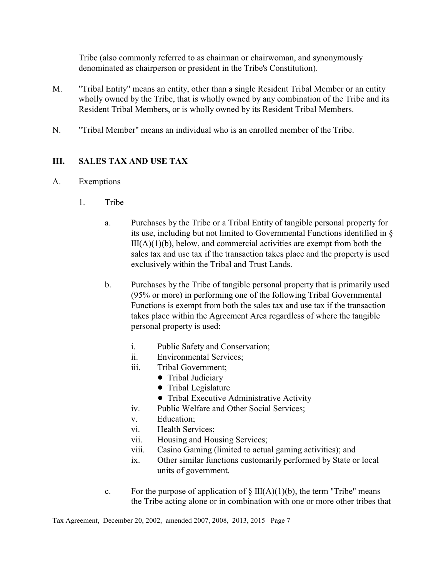Tribe (also commonly referred to as chairman or chairwoman, and synonymously denominated as chairperson or president in the Tribe's Constitution).

- M. "Tribal Entity" means an entity, other than a single Resident Tribal Member or an entity wholly owned by the Tribe, that is wholly owned by any combination of the Tribe and its Resident Tribal Members, or is wholly owned by its Resident Tribal Members.
- N. "Tribal Member" means an individual who is an enrolled member of the Tribe.

# **III. SALES TAX AND USE TAX**

## A. Exemptions

- 1. Tribe
	- a. Purchases by the Tribe or a Tribal Entity of tangible personal property for its use, including but not limited to Governmental Functions identified in §  $III(A)(1)(b)$ , below, and commercial activities are exempt from both the sales tax and use tax if the transaction takes place and the property is used exclusively within the Tribal and Trust Lands.
	- b. Purchases by the Tribe of tangible personal property that is primarily used (95% or more) in performing one of the following Tribal Governmental Functions is exempt from both the sales tax and use tax if the transaction takes place within the Agreement Area regardless of where the tangible personal property is used:
		- i. Public Safety and Conservation;
		- ii. Environmental Services;
		- iii. Tribal Government;
			- Tribal Judiciary
				- Tribal Legislature
				- Tribal Executive Administrative Activity
		- iv. Public Welfare and Other Social Services;
		- v. Education;
		- vi. Health Services;
		- vii. Housing and Housing Services;
		- viii. Casino Gaming (limited to actual gaming activities); and
		- ix. Other similar functions customarily performed by State or local units of government.
	- c. For the purpose of application of  $\S$  III(A)(1)(b), the term "Tribe" means the Tribe acting alone or in combination with one or more other tribes that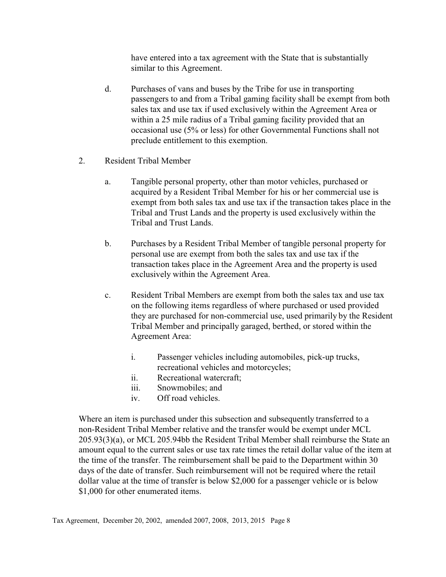have entered into a tax agreement with the State that is substantially similar to this Agreement.

- d. Purchases of vans and buses by the Tribe for use in transporting passengers to and from a Tribal gaming facility shall be exempt from both sales tax and use tax if used exclusively within the Agreement Area or within a 25 mile radius of a Tribal gaming facility provided that an occasional use (5% or less) for other Governmental Functions shall not preclude entitlement to this exemption.
- 2. Resident Tribal Member
	- a. Tangible personal property, other than motor vehicles, purchased or acquired by a Resident Tribal Member for his or her commercial use is exempt from both sales tax and use tax if the transaction takes place in the Tribal and Trust Lands and the property is used exclusively within the Tribal and Trust Lands.
	- b. Purchases by a Resident Tribal Member of tangible personal property for personal use are exempt from both the sales tax and use tax if the transaction takes place in the Agreement Area and the property is used exclusively within the Agreement Area.
	- c. Resident Tribal Members are exempt from both the sales tax and use tax on the following items regardless of where purchased or used provided they are purchased for non-commercial use, used primarily by the Resident Tribal Member and principally garaged, berthed, or stored within the Agreement Area:
		- i. Passenger vehicles including automobiles, pick-up trucks, recreational vehicles and motorcycles;
		- ii. Recreational watercraft;
		- iii. Snowmobiles; and
		- iv. Off road vehicles.

Where an item is purchased under this subsection and subsequently transferred to a non-Resident Tribal Member relative and the transfer would be exempt under MCL 205.93(3)(a), or MCL 205.94bb the Resident Tribal Member shall reimburse the State an amount equal to the current sales or use tax rate times the retail dollar value of the item at the time of the transfer. The reimbursement shall be paid to the Department within 30 days of the date of transfer. Such reimbursement will not be required where the retail dollar value at the time of transfer is below \$2,000 for a passenger vehicle or is below \$1,000 for other enumerated items.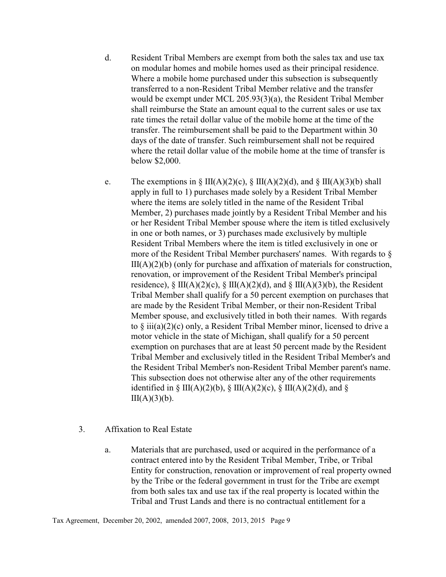- d. Resident Tribal Members are exempt from both the sales tax and use tax on modular homes and mobile homes used as their principal residence. Where a mobile home purchased under this subsection is subsequently transferred to a non-Resident Tribal Member relative and the transfer would be exempt under MCL 205.93(3)(a), the Resident Tribal Member shall reimburse the State an amount equal to the current sales or use tax rate times the retail dollar value of the mobile home at the time of the transfer. The reimbursement shall be paid to the Department within 30 days of the date of transfer. Such reimbursement shall not be required where the retail dollar value of the mobile home at the time of transfer is below \$2,000.
- e. The exemptions in § III(A)(2)(c), § III(A)(2)(d), and § III(A)(3)(b) shall apply in full to 1) purchases made solely by a Resident Tribal Member where the items are solely titled in the name of the Resident Tribal Member, 2) purchases made jointly by a Resident Tribal Member and his or her Resident Tribal Member spouse where the item is titled exclusively in one or both names, or 3) purchases made exclusively by multiple Resident Tribal Members where the item is titled exclusively in one or more of the Resident Tribal Member purchasers' names. With regards to §  $III(A)(2)(b)$  (only for purchase and affixation of materials for construction, renovation, or improvement of the Resident Tribal Member's principal residence),  $\S \Pi(A)(2)(c)$ ,  $\S \Pi(A)(2)(d)$ , and  $\S \Pi(A)(3)(b)$ , the Resident Tribal Member shall qualify for a 50 percent exemption on purchases that are made by the Resident Tribal Member, or their non-Resident Tribal Member spouse, and exclusively titled in both their names. With regards to § iii(a)(2)(c) only, a Resident Tribal Member minor, licensed to drive a motor vehicle in the state of Michigan, shall qualify for a 50 percent exemption on purchases that are at least 50 percent made by the Resident Tribal Member and exclusively titled in the Resident Tribal Member's and the Resident Tribal Member's non-Resident Tribal Member parent's name. This subsection does not otherwise alter any of the other requirements identified in § III(A)(2)(b), § III(A)(2)(c), § III(A)(2)(d), and §  $III(A)(3)(b)$ .
- 3. Affixation to Real Estate
	- a. Materials that are purchased, used or acquired in the performance of a contract entered into by the Resident Tribal Member, Tribe, or Tribal Entity for construction, renovation or improvement of real property owned by the Tribe or the federal government in trust for the Tribe are exempt from both sales tax and use tax if the real property is located within the Tribal and Trust Lands and there is no contractual entitlement for a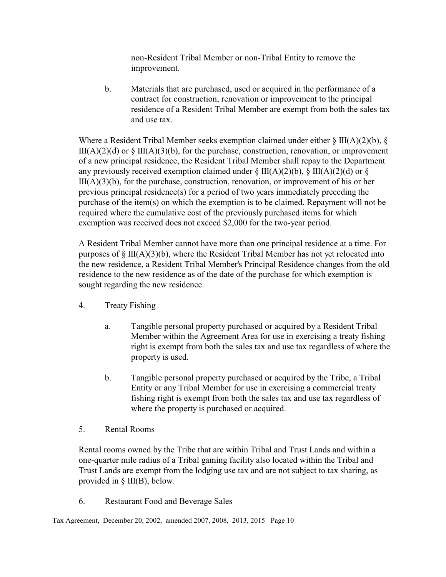non-Resident Tribal Member or non-Tribal Entity to remove the improvement.

b. Materials that are purchased, used or acquired in the performance of a contract for construction, renovation or improvement to the principal residence of a Resident Tribal Member are exempt from both the sales tax and use tax.

Where a Resident Tribal Member seeks exemption claimed under either  $\S$  III(A)(2)(b),  $\S$  $III(A)(2)(d)$  or  $\S$   $III(A)(3)(b)$ , for the purchase, construction, renovation, or improvement of a new principal residence, the Resident Tribal Member shall repay to the Department any previously received exemption claimed under  $\S$  III(A)(2)(b),  $\S$  III(A)(2)(d) or  $\S$  $III(A)(3)(b)$ , for the purchase, construction, renovation, or improvement of his or her previous principal residence(s) for a period of two years immediately preceding the purchase of the item(s) on which the exemption is to be claimed. Repayment will not be required where the cumulative cost of the previously purchased items for which exemption was received does not exceed \$2,000 for the two-year period.

A Resident Tribal Member cannot have more than one principal residence at a time. For purposes of  $\S$  III(A)(3)(b), where the Resident Tribal Member has not yet relocated into the new residence, a Resident Tribal Member's Principal Residence changes from the old residence to the new residence as of the date of the purchase for which exemption is sought regarding the new residence.

- 4. Treaty Fishing
	- a. Tangible personal property purchased or acquired by a Resident Tribal Member within the Agreement Area for use in exercising a treaty fishing right is exempt from both the sales tax and use tax regardless of where the property is used.
	- b. Tangible personal property purchased or acquired by the Tribe, a Tribal Entity or any Tribal Member for use in exercising a commercial treaty fishing right is exempt from both the sales tax and use tax regardless of where the property is purchased or acquired.
- 5. Rental Rooms

Rental rooms owned by the Tribe that are within Tribal and Trust Lands and within a one-quarter mile radius of a Tribal gaming facility also located within the Tribal and Trust Lands are exempt from the lodging use tax and are not subject to tax sharing, as provided in § III(B), below.

6. Restaurant Food and Beverage Sales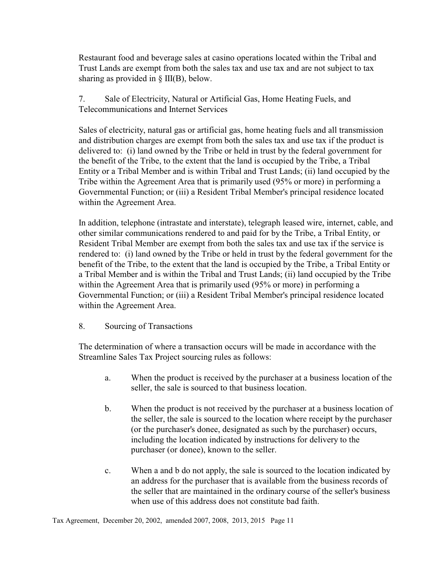Restaurant food and beverage sales at casino operations located within the Tribal and Trust Lands are exempt from both the sales tax and use tax and are not subject to tax sharing as provided in  $\S$  III(B), below.

7. Sale of Electricity, Natural or Artificial Gas, Home Heating Fuels, and Telecommunications and Internet Services

Sales of electricity, natural gas or artificial gas, home heating fuels and all transmission and distribution charges are exempt from both the sales tax and use tax if the product is delivered to: (i) land owned by the Tribe or held in trust by the federal government for the benefit of the Tribe, to the extent that the land is occupied by the Tribe, a Tribal Entity or a Tribal Member and is within Tribal and Trust Lands; (ii) land occupied by the Tribe within the Agreement Area that is primarily used (95% or more) in performing a Governmental Function; or (iii) a Resident Tribal Member's principal residence located within the Agreement Area.

In addition, telephone (intrastate and interstate), telegraph leased wire, internet, cable, and other similar communications rendered to and paid for by the Tribe, a Tribal Entity, or Resident Tribal Member are exempt from both the sales tax and use tax if the service is rendered to: (i) land owned by the Tribe or held in trust by the federal government for the benefit of the Tribe, to the extent that the land is occupied by the Tribe, a Tribal Entity or a Tribal Member and is within the Tribal and Trust Lands; (ii) land occupied by the Tribe within the Agreement Area that is primarily used (95% or more) in performing a Governmental Function; or (iii) a Resident Tribal Member's principal residence located within the Agreement Area.

## 8. Sourcing of Transactions

The determination of where a transaction occurs will be made in accordance with the Streamline Sales Tax Project sourcing rules as follows:

- a. When the product is received by the purchaser at a business location of the seller, the sale is sourced to that business location.
- b. When the product is not received by the purchaser at a business location of the seller, the sale is sourced to the location where receipt by the purchaser (or the purchaser's donee, designated as such by the purchaser) occurs, including the location indicated by instructions for delivery to the purchaser (or donee), known to the seller.
- c. When a and b do not apply, the sale is sourced to the location indicated by an address for the purchaser that is available from the business records of the seller that are maintained in the ordinary course of the seller's business when use of this address does not constitute bad faith.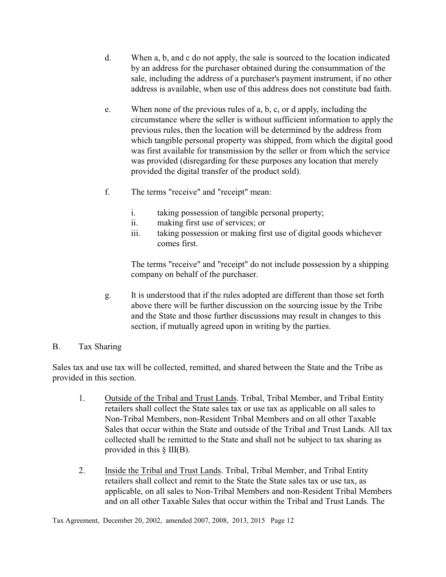- d. When a, b, and c do not apply, the sale is sourced to the location indicated by an address for the purchaser obtained during the consummation of the sale, including the address of a purchaser's payment instrument, if no other address is available, when use of this address does not constitute bad faith.
- e. When none of the previous rules of a, b, c, or d apply, including the circumstance where the seller is without sufficient information to apply the previous rules, then the location will be determined by the address from which tangible personal property was shipped, from which the digital good was first available for transmission by the seller or from which the service was provided (disregarding for these purposes any location that merely provided the digital transfer of the product sold).
- f. The terms "receive" and "receipt" mean:
	- i. taking possession of tangible personal property;
	- ii. making first use of services; or
	- iii. taking possession or making first use of digital goods whichever comes first.

The terms "receive" and "receipt" do not include possession by a shipping company on behalf of the purchaser.

g. It is understood that if the rules adopted are different than those set forth above there will be further discussion on the sourcing issue by the Tribe and the State and those further discussions may result in changes to this section, if mutually agreed upon in writing by the parties.

## B. Tax Sharing

Sales tax and use tax will be collected, remitted, and shared between the State and the Tribe as provided in this section.

- 1. Outside of the Tribal and Trust Lands. Tribal, Tribal Member, and Tribal Entity retailers shall collect the State sales tax or use tax as applicable on all sales to Non-Tribal Members, non-Resident Tribal Members and on all other Taxable Sales that occur within the State and outside of the Tribal and Trust Lands. All tax collected shall be remitted to the State and shall not be subject to tax sharing as provided in this § III(B).
- 2. Inside the Tribal and Trust Lands. Tribal, Tribal Member, and Tribal Entity retailers shall collect and remit to the State the State sales tax or use tax, as applicable, on all sales to Non-Tribal Members and non-Resident Tribal Members and on all other Taxable Sales that occur within the Tribal and Trust Lands. The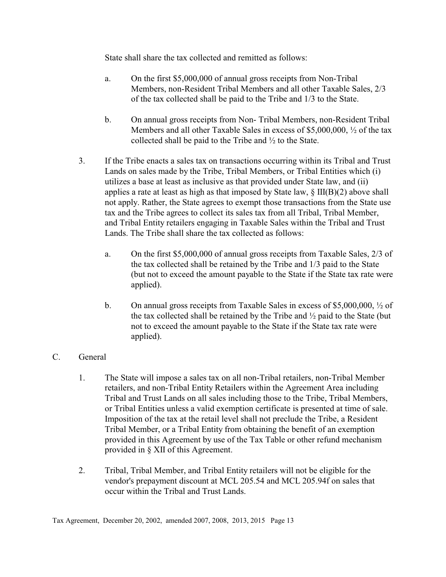State shall share the tax collected and remitted as follows:

- a. On the first \$5,000,000 of annual gross receipts from Non-Tribal Members, non-Resident Tribal Members and all other Taxable Sales, 2/3 of the tax collected shall be paid to the Tribe and 1/3 to the State.
- b. On annual gross receipts from Non- Tribal Members, non-Resident Tribal Members and all other Taxable Sales in excess of \$5,000,000,  $\frac{1}{2}$  of the tax collected shall be paid to the Tribe and ½ to the State.
- 3. If the Tribe enacts a sales tax on transactions occurring within its Tribal and Trust Lands on sales made by the Tribe, Tribal Members, or Tribal Entities which (i) utilizes a base at least as inclusive as that provided under State law, and (ii) applies a rate at least as high as that imposed by State law,  $\S$  III(B)(2) above shall not apply. Rather, the State agrees to exempt those transactions from the State use tax and the Tribe agrees to collect its sales tax from all Tribal, Tribal Member, and Tribal Entity retailers engaging in Taxable Sales within the Tribal and Trust Lands. The Tribe shall share the tax collected as follows:
	- a. On the first \$5,000,000 of annual gross receipts from Taxable Sales, 2/3 of the tax collected shall be retained by the Tribe and 1/3 paid to the State (but not to exceed the amount payable to the State if the State tax rate were applied).
	- b. On annual gross receipts from Taxable Sales in excess of \$5,000,000,  $\frac{1}{2}$  of the tax collected shall be retained by the Tribe and  $\frac{1}{2}$  paid to the State (but not to exceed the amount payable to the State if the State tax rate were applied).

## C. General

- 1. The State will impose a sales tax on all non-Tribal retailers, non-Tribal Member retailers, and non-Tribal Entity Retailers within the Agreement Area including Tribal and Trust Lands on all sales including those to the Tribe, Tribal Members, or Tribal Entities unless a valid exemption certificate is presented at time of sale. Imposition of the tax at the retail level shall not preclude the Tribe, a Resident Tribal Member, or a Tribal Entity from obtaining the benefit of an exemption provided in this Agreement by use of the Tax Table or other refund mechanism provided in § XII of this Agreement.
- 2. Tribal, Tribal Member, and Tribal Entity retailers will not be eligible for the vendor's prepayment discount at MCL 205.54 and MCL 205.94f on sales that occur within the Tribal and Trust Lands.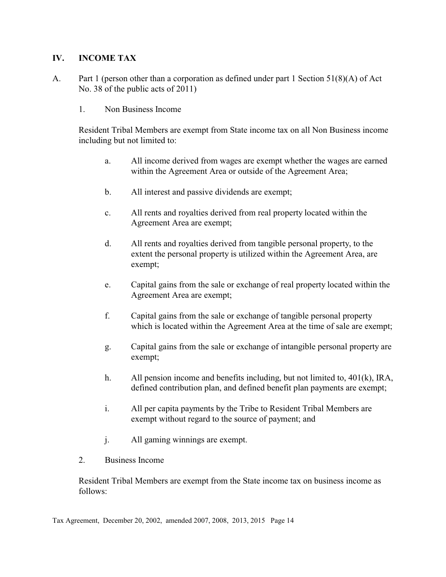## **IV. INCOME TAX**

- A. Part 1 (person other than a corporation as defined under part 1 Section 51(8)(A) of Act No. 38 of the public acts of 2011)
	- 1. Non Business Income

Resident Tribal Members are exempt from State income tax on all Non Business income including but not limited to:

- a. All income derived from wages are exempt whether the wages are earned within the Agreement Area or outside of the Agreement Area;
- b. All interest and passive dividends are exempt;
- c. All rents and royalties derived from real property located within the Agreement Area are exempt;
- d. All rents and royalties derived from tangible personal property, to the extent the personal property is utilized within the Agreement Area, are exempt;
- e. Capital gains from the sale or exchange of real property located within the Agreement Area are exempt;
- f. Capital gains from the sale or exchange of tangible personal property which is located within the Agreement Area at the time of sale are exempt;
- g. Capital gains from the sale or exchange of intangible personal property are exempt;
- h. All pension income and benefits including, but not limited to, 401(k), IRA, defined contribution plan, and defined benefit plan payments are exempt;
- i. All per capita payments by the Tribe to Resident Tribal Members are exempt without regard to the source of payment; and
- j. All gaming winnings are exempt.
- 2. Business Income

Resident Tribal Members are exempt from the State income tax on business income as follows: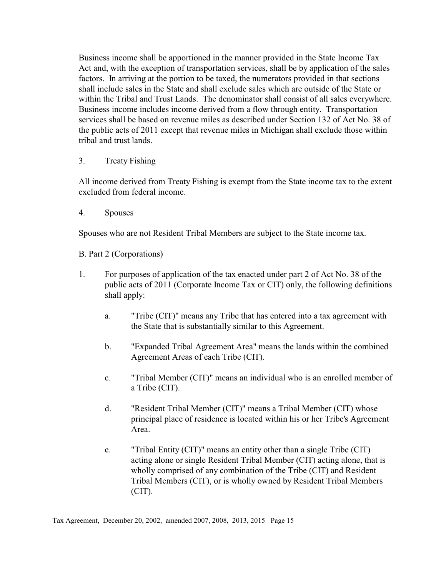Business income shall be apportioned in the manner provided in the State Income Tax Act and, with the exception of transportation services, shall be by application of the sales factors. In arriving at the portion to be taxed, the numerators provided in that sections shall include sales in the State and shall exclude sales which are outside of the State or within the Tribal and Trust Lands. The denominator shall consist of all sales everywhere. Business income includes income derived from a flow through entity. Transportation services shall be based on revenue miles as described under Section 132 of Act No. 38 of the public acts of 2011 except that revenue miles in Michigan shall exclude those within tribal and trust lands.

3. Treaty Fishing

All income derived from Treaty Fishing is exempt from the State income tax to the extent excluded from federal income.

4. Spouses

Spouses who are not Resident Tribal Members are subject to the State income tax.

B. Part 2 (Corporations)

- 1. For purposes of application of the tax enacted under part 2 of Act No. 38 of the public acts of 2011 (Corporate Income Tax or CIT) only, the following definitions shall apply:
	- a. "Tribe (CIT)" means any Tribe that has entered into a tax agreement with the State that is substantially similar to this Agreement.
	- b. "Expanded Tribal Agreement Area" means the lands within the combined Agreement Areas of each Tribe (CIT).
	- c. "Tribal Member (CIT)" means an individual who is an enrolled member of a Tribe (CIT).
	- d. "Resident Tribal Member (CIT)" means a Tribal Member (CIT) whose principal place of residence is located within his or her Tribe's Agreement Area.
	- e. "Tribal Entity (CIT)" means an entity other than a single Tribe (CIT) acting alone or single Resident Tribal Member (CIT) acting alone, that is wholly comprised of any combination of the Tribe (CIT) and Resident Tribal Members (CIT), or is wholly owned by Resident Tribal Members (CIT).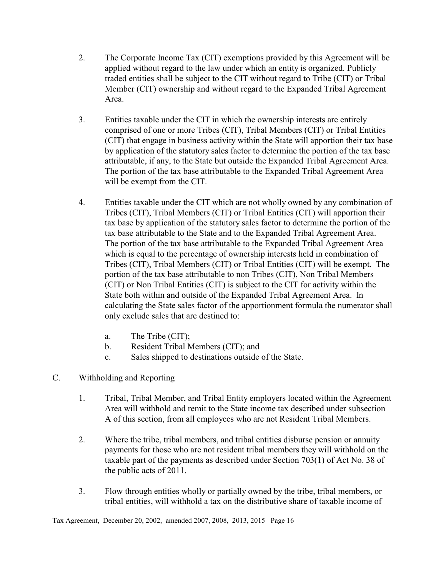- 2. The Corporate Income Tax (CIT) exemptions provided by this Agreement will be applied without regard to the law under which an entity is organized. Publicly traded entities shall be subject to the CIT without regard to Tribe (CIT) or Tribal Member (CIT) ownership and without regard to the Expanded Tribal Agreement Area.
- 3. Entities taxable under the CIT in which the ownership interests are entirely comprised of one or more Tribes (CIT), Tribal Members (CIT) or Tribal Entities (CIT) that engage in business activity within the State will apportion their tax base by application of the statutory sales factor to determine the portion of the tax base attributable, if any, to the State but outside the Expanded Tribal Agreement Area. The portion of the tax base attributable to the Expanded Tribal Agreement Area will be exempt from the CIT.
- 4. Entities taxable under the CIT which are not wholly owned by any combination of Tribes (CIT), Tribal Members (CIT) or Tribal Entities (CIT) will apportion their tax base by application of the statutory sales factor to determine the portion of the tax base attributable to the State and to the Expanded Tribal Agreement Area. The portion of the tax base attributable to the Expanded Tribal Agreement Area which is equal to the percentage of ownership interests held in combination of Tribes (CIT), Tribal Members (CIT) or Tribal Entities (CIT) will be exempt. The portion of the tax base attributable to non Tribes (CIT), Non Tribal Members (CIT) or Non Tribal Entities (CIT) is subject to the CIT for activity within the State both within and outside of the Expanded Tribal Agreement Area. In calculating the State sales factor of the apportionment formula the numerator shall only exclude sales that are destined to:
	- a. The Tribe (CIT);
	- b. Resident Tribal Members (CIT); and
	- c. Sales shipped to destinations outside of the State.
- C. Withholding and Reporting
	- 1. Tribal, Tribal Member, and Tribal Entity employers located within the Agreement Area will withhold and remit to the State income tax described under subsection A of this section, from all employees who are not Resident Tribal Members.
	- 2. Where the tribe, tribal members, and tribal entities disburse pension or annuity payments for those who are not resident tribal members they will withhold on the taxable part of the payments as described under Section 703(1) of Act No. 38 of the public acts of 2011.
	- 3. Flow through entities wholly or partially owned by the tribe, tribal members, or tribal entities, will withhold a tax on the distributive share of taxable income of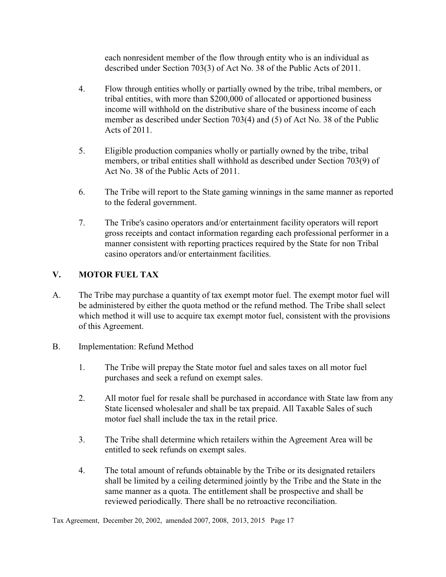each nonresident member of the flow through entity who is an individual as described under Section 703(3) of Act No. 38 of the Public Acts of 2011.

- 4. Flow through entities wholly or partially owned by the tribe, tribal members, or tribal entities, with more than \$200,000 of allocated or apportioned business income will withhold on the distributive share of the business income of each member as described under Section 703(4) and (5) of Act No. 38 of the Public Acts of 2011.
- 5. Eligible production companies wholly or partially owned by the tribe, tribal members, or tribal entities shall withhold as described under Section 703(9) of Act No. 38 of the Public Acts of 2011.
- 6. The Tribe will report to the State gaming winnings in the same manner as reported to the federal government.
- 7. The Tribe's casino operators and/or entertainment facility operators will report gross receipts and contact information regarding each professional performer in a manner consistent with reporting practices required by the State for non Tribal casino operators and/or entertainment facilities.

# **V. MOTOR FUEL TAX**

- A. The Tribe may purchase a quantity of tax exempt motor fuel. The exempt motor fuel will be administered by either the quota method or the refund method. The Tribe shall select which method it will use to acquire tax exempt motor fuel, consistent with the provisions of this Agreement.
- B. Implementation: Refund Method
	- 1. The Tribe will prepay the State motor fuel and sales taxes on all motor fuel purchases and seek a refund on exempt sales.
	- 2. All motor fuel for resale shall be purchased in accordance with State law from any State licensed wholesaler and shall be tax prepaid. All Taxable Sales of such motor fuel shall include the tax in the retail price.
	- 3. The Tribe shall determine which retailers within the Agreement Area will be entitled to seek refunds on exempt sales.
	- 4. The total amount of refunds obtainable by the Tribe or its designated retailers shall be limited by a ceiling determined jointly by the Tribe and the State in the same manner as a quota. The entitlement shall be prospective and shall be reviewed periodically. There shall be no retroactive reconciliation.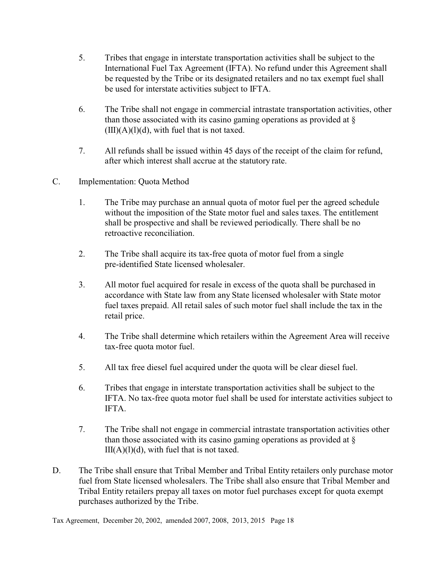- 5. Tribes that engage in interstate transportation activities shall be subject to the International Fuel Tax Agreement (IFTA). No refund under this Agreement shall be requested by the Tribe or its designated retailers and no tax exempt fuel shall be used for interstate activities subject to IFTA.
- 6. The Tribe shall not engage in commercial intrastate transportation activities, other than those associated with its casino gaming operations as provided at  $\S$  $(III)(A)(1)(d)$ , with fuel that is not taxed.
- 7. All refunds shall be issued within 45 days of the receipt of the claim for refund, after which interest shall accrue at the statutory rate.
- C. Implementation: Quota Method
	- 1. The Tribe may purchase an annual quota of motor fuel per the agreed schedule without the imposition of the State motor fuel and sales taxes. The entitlement shall be prospective and shall be reviewed periodically. There shall be no retroactive reconciliation.
	- 2. The Tribe shall acquire its tax-free quota of motor fuel from a single pre-identified State licensed wholesaler.
	- 3. All motor fuel acquired for resale in excess of the quota shall be purchased in accordance with State law from any State licensed wholesaler with State motor fuel taxes prepaid. All retail sales of such motor fuel shall include the tax in the retail price.
	- 4. The Tribe shall determine which retailers within the Agreement Area will receive tax-free quota motor fuel.
	- 5. All tax free diesel fuel acquired under the quota will be clear diesel fuel.
	- 6. Tribes that engage in interstate transportation activities shall be subject to the IFTA. No tax-free quota motor fuel shall be used for interstate activities subject to IFTA.
	- 7. The Tribe shall not engage in commercial intrastate transportation activities other than those associated with its casino gaming operations as provided at §  $III(A)(1)(d)$ , with fuel that is not taxed.
- D. The Tribe shall ensure that Tribal Member and Tribal Entity retailers only purchase motor fuel from State licensed wholesalers. The Tribe shall also ensure that Tribal Member and Tribal Entity retailers prepay all taxes on motor fuel purchases except for quota exempt purchases authorized by the Tribe.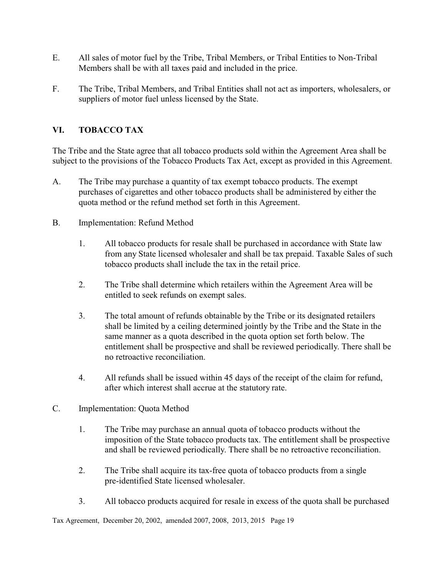- E. All sales of motor fuel by the Tribe, Tribal Members, or Tribal Entities to Non-Tribal Members shall be with all taxes paid and included in the price.
- F. The Tribe, Tribal Members, and Tribal Entities shall not act as importers, wholesalers, or suppliers of motor fuel unless licensed by the State.

# **VI. TOBACCO TAX**

The Tribe and the State agree that all tobacco products sold within the Agreement Area shall be subject to the provisions of the Tobacco Products Tax Act, except as provided in this Agreement.

- A. The Tribe may purchase a quantity of tax exempt tobacco products. The exempt purchases of cigarettes and other tobacco products shall be administered by either the quota method or the refund method set forth in this Agreement.
- B. Implementation: Refund Method
	- 1. All tobacco products for resale shall be purchased in accordance with State law from any State licensed wholesaler and shall be tax prepaid. Taxable Sales of such tobacco products shall include the tax in the retail price.
	- 2. The Tribe shall determine which retailers within the Agreement Area will be entitled to seek refunds on exempt sales.
	- 3. The total amount of refunds obtainable by the Tribe or its designated retailers shall be limited by a ceiling determined jointly by the Tribe and the State in the same manner as a quota described in the quota option set forth below. The entitlement shall be prospective and shall be reviewed periodically. There shall be no retroactive reconciliation.
	- 4. All refunds shall be issued within 45 days of the receipt of the claim for refund, after which interest shall accrue at the statutory rate.
- C. Implementation: Quota Method
	- 1. The Tribe may purchase an annual quota of tobacco products without the imposition of the State tobacco products tax. The entitlement shall be prospective and shall be reviewed periodically. There shall be no retroactive reconciliation.
	- 2. The Tribe shall acquire its tax-free quota of tobacco products from a single pre-identified State licensed wholesaler.
	- 3. All tobacco products acquired for resale in excess of the quota shall be purchased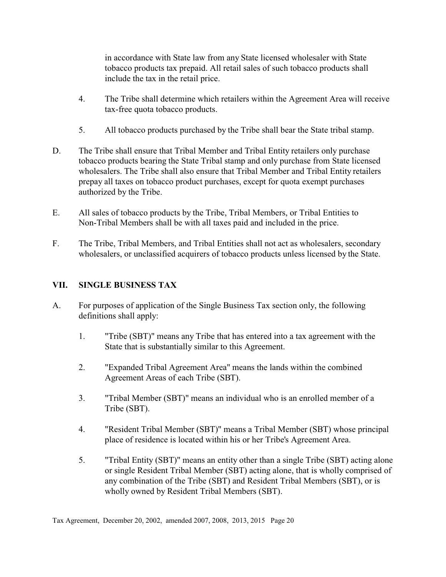in accordance with State law from any State licensed wholesaler with State tobacco products tax prepaid. All retail sales of such tobacco products shall include the tax in the retail price.

- 4. The Tribe shall determine which retailers within the Agreement Area will receive tax-free quota tobacco products.
- 5. All tobacco products purchased by the Tribe shall bear the State tribal stamp.
- D. The Tribe shall ensure that Tribal Member and Tribal Entity retailers only purchase tobacco products bearing the State Tribal stamp and only purchase from State licensed wholesalers. The Tribe shall also ensure that Tribal Member and Tribal Entity retailers prepay all taxes on tobacco product purchases, except for quota exempt purchases authorized by the Tribe.
- E. All sales of tobacco products by the Tribe, Tribal Members, or Tribal Entities to Non-Tribal Members shall be with all taxes paid and included in the price.
- F. The Tribe, Tribal Members, and Tribal Entities shall not act as wholesalers, secondary wholesalers, or unclassified acquirers of tobacco products unless licensed by the State.

# **VII. SINGLE BUSINESS TAX**

- A. For purposes of application of the Single Business Tax section only, the following definitions shall apply:
	- 1. "Tribe (SBT)" means any Tribe that has entered into a tax agreement with the State that is substantially similar to this Agreement.
	- 2. "Expanded Tribal Agreement Area" means the lands within the combined Agreement Areas of each Tribe (SBT).
	- 3. "Tribal Member (SBT)" means an individual who is an enrolled member of a Tribe (SBT).
	- 4. "Resident Tribal Member (SBT)" means a Tribal Member (SBT) whose principal place of residence is located within his or her Tribe's Agreement Area.
	- 5. "Tribal Entity (SBT)" means an entity other than a single Tribe (SBT) acting alone or single Resident Tribal Member (SBT) acting alone, that is wholly comprised of any combination of the Tribe (SBT) and Resident Tribal Members (SBT), or is wholly owned by Resident Tribal Members (SBT).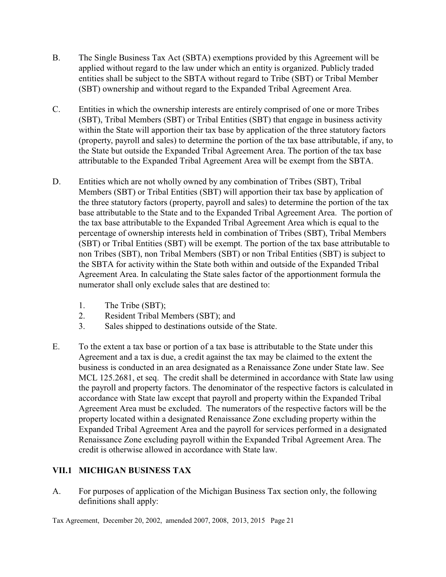- B. The Single Business Tax Act (SBTA) exemptions provided by this Agreement will be applied without regard to the law under which an entity is organized. Publicly traded entities shall be subject to the SBTA without regard to Tribe (SBT) or Tribal Member (SBT) ownership and without regard to the Expanded Tribal Agreement Area.
- C. Entities in which the ownership interests are entirely comprised of one or more Tribes (SBT), Tribal Members (SBT) or Tribal Entities (SBT) that engage in business activity within the State will apportion their tax base by application of the three statutory factors (property, payroll and sales) to determine the portion of the tax base attributable, if any, to the State but outside the Expanded Tribal Agreement Area. The portion of the tax base attributable to the Expanded Tribal Agreement Area will be exempt from the SBTA.
- D. Entities which are not wholly owned by any combination of Tribes (SBT), Tribal Members (SBT) or Tribal Entities (SBT) will apportion their tax base by application of the three statutory factors (property, payroll and sales) to determine the portion of the tax base attributable to the State and to the Expanded Tribal Agreement Area. The portion of the tax base attributable to the Expanded Tribal Agreement Area which is equal to the percentage of ownership interests held in combination of Tribes (SBT), Tribal Members (SBT) or Tribal Entities (SBT) will be exempt. The portion of the tax base attributable to non Tribes (SBT), non Tribal Members (SBT) or non Tribal Entities (SBT) is subject to the SBTA for activity within the State both within and outside of the Expanded Tribal Agreement Area. In calculating the State sales factor of the apportionment formula the numerator shall only exclude sales that are destined to:
	- 1. The Tribe (SBT);
	- 2. Resident Tribal Members (SBT); and
	- 3. Sales shipped to destinations outside of the State.
- E. To the extent a tax base or portion of a tax base is attributable to the State under this Agreement and a tax is due, a credit against the tax may be claimed to the extent the business is conducted in an area designated as a Renaissance Zone under State law. See MCL 125.2681, et seq. The credit shall be determined in accordance with State law using the payroll and property factors. The denominator of the respective factors is calculated in accordance with State law except that payroll and property within the Expanded Tribal Agreement Area must be excluded. The numerators of the respective factors will be the property located within a designated Renaissance Zone excluding property within the Expanded Tribal Agreement Area and the payroll for services performed in a designated Renaissance Zone excluding payroll within the Expanded Tribal Agreement Area. The credit is otherwise allowed in accordance with State law.

# **VII.1 MICHIGAN BUSINESS TAX**

A. For purposes of application of the Michigan Business Tax section only, the following definitions shall apply: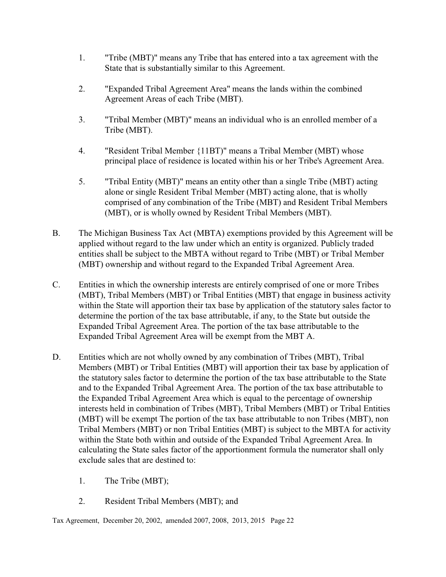- 1. "Tribe (MBT)" means any Tribe that has entered into a tax agreement with the State that is substantially similar to this Agreement.
- 2. "Expanded Tribal Agreement Area" means the lands within the combined Agreement Areas of each Tribe (MBT).
- 3. "Tribal Member (MBT)" means an individual who is an enrolled member of a Tribe (MBT).
- 4. "Resident Tribal Member {11BT)" means a Tribal Member (MBT) whose principal place of residence is located within his or her Tribe's Agreement Area.
- 5. "Tribal Entity (MBT)" means an entity other than a single Tribe (MBT) acting alone or single Resident Tribal Member (MBT) acting alone, that is wholly comprised of any combination of the Tribe (MBT) and Resident Tribal Members (MBT), or is wholly owned by Resident Tribal Members (MBT).
- B. The Michigan Business Tax Act (MBTA) exemptions provided by this Agreement will be applied without regard to the law under which an entity is organized. Publicly traded entities shall be subject to the MBTA without regard to Tribe (MBT) or Tribal Member (MBT) ownership and without regard to the Expanded Tribal Agreement Area.
- C. Entities in which the ownership interests are entirely comprised of one or more Tribes (MBT), Tribal Members (MBT) or Tribal Entities (MBT) that engage in business activity within the State will apportion their tax base by application of the statutory sales factor to determine the portion of the tax base attributable, if any, to the State but outside the Expanded Tribal Agreement Area. The portion of the tax base attributable to the Expanded Tribal Agreement Area will be exempt from the MBT A.
- D. Entities which are not wholly owned by any combination of Tribes (MBT), Tribal Members (MBT) or Tribal Entities (MBT) will apportion their tax base by application of the statutory sales factor to determine the portion of the tax base attributable to the State and to the Expanded Tribal Agreement Area. The portion of the tax base attributable to the Expanded Tribal Agreement Area which is equal to the percentage of ownership interests held in combination of Tribes (MBT), Tribal Members (MBT) or Tribal Entities (MBT) will be exempt The portion of the tax base attributable to non Tribes (MBT), non Tribal Members (MBT) or non Tribal Entities (MBT) is subject to the MBTA for activity within the State both within and outside of the Expanded Tribal Agreement Area. In calculating the State sales factor of the apportionment formula the numerator shall only exclude sales that are destined to:
	- 1. The Tribe (MBT);
	- 2. Resident Tribal Members (MBT); and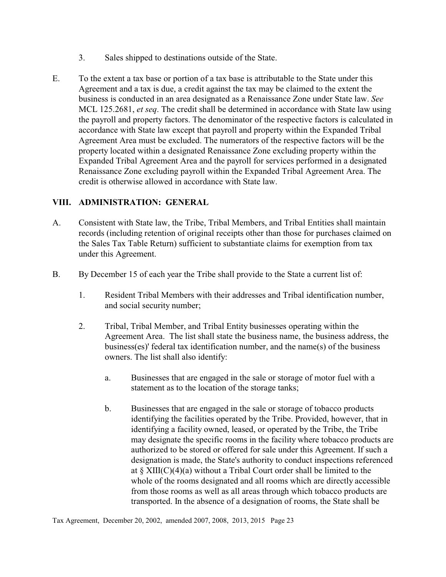- 3. Sales shipped to destinations outside of the State.
- E. To the extent a tax base or portion of a tax base is attributable to the State under this Agreement and a tax is due, a credit against the tax may be claimed to the extent the business is conducted in an area designated as a Renaissance Zone under State law. *See* MCL 125.2681, *et seq*. The credit shall be determined in accordance with State law using the payroll and property factors. The denominator of the respective factors is calculated in accordance with State law except that payroll and property within the Expanded Tribal Agreement Area must be excluded. The numerators of the respective factors will be the property located within a designated Renaissance Zone excluding property within the Expanded Tribal Agreement Area and the payroll for services performed in a designated Renaissance Zone excluding payroll within the Expanded Tribal Agreement Area. The credit is otherwise allowed in accordance with State law.

## **VIII. ADMINISTRATION: GENERAL**

- A. Consistent with State law, the Tribe, Tribal Members, and Tribal Entities shall maintain records (including retention of original receipts other than those for purchases claimed on the Sales Tax Table Return) sufficient to substantiate claims for exemption from tax under this Agreement.
- B. By December 15 of each year the Tribe shall provide to the State a current list of:
	- 1. Resident Tribal Members with their addresses and Tribal identification number, and social security number;
	- 2. Tribal, Tribal Member, and Tribal Entity businesses operating within the Agreement Area. The list shall state the business name, the business address, the business(es)' federal tax identification number, and the name(s) of the business owners. The list shall also identify:
		- a. Businesses that are engaged in the sale or storage of motor fuel with a statement as to the location of the storage tanks;
		- b. Businesses that are engaged in the sale or storage of tobacco products identifying the facilities operated by the Tribe. Provided, however, that in identifying a facility owned, leased, or operated by the Tribe, the Tribe may designate the specific rooms in the facility where tobacco products are authorized to be stored or offered for sale under this Agreement. If such a designation is made, the State's authority to conduct inspections referenced at  $\S$  XIII(C)(4)(a) without a Tribal Court order shall be limited to the whole of the rooms designated and all rooms which are directly accessible from those rooms as well as all areas through which tobacco products are transported. In the absence of a designation of rooms, the State shall be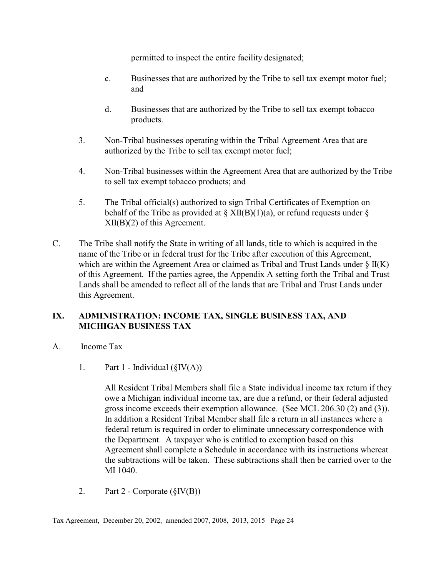permitted to inspect the entire facility designated;

- c. Businesses that are authorized by the Tribe to sell tax exempt motor fuel; and
- d. Businesses that are authorized by the Tribe to sell tax exempt tobacco products.
- 3. Non-Tribal businesses operating within the Tribal Agreement Area that are authorized by the Tribe to sell tax exempt motor fuel;
- 4. Non-Tribal businesses within the Agreement Area that are authorized by the Tribe to sell tax exempt tobacco products; and
- 5. The Tribal official(s) authorized to sign Tribal Certificates of Exemption on behalf of the Tribe as provided at  $\S$  XII(B)(1)(a), or refund requests under  $\S$ XII(B)(2) of this Agreement.
- C. The Tribe shall notify the State in writing of all lands, title to which is acquired in the name of the Tribe or in federal trust for the Tribe after execution of this Agreement, which are within the Agreement Area or claimed as Tribal and Trust Lands under  $\S$  II(K) of this Agreement. If the parties agree, the Appendix A setting forth the Tribal and Trust Lands shall be amended to reflect all of the lands that are Tribal and Trust Lands under this Agreement.

# **IX. ADMINISTRATION: INCOME TAX, SINGLE BUSINESS TAX, AND MICHIGAN BUSINESS TAX**

- A. Income Tax
	- 1. Part 1 Individual  $(\S IV(A))$

All Resident Tribal Members shall file a State individual income tax return if they owe a Michigan individual income tax, are due a refund, or their federal adjusted gross income exceeds their exemption allowance. (See MCL 206.30 (2) and (3)). In addition a Resident Tribal Member shall file a return in all instances where a federal return is required in order to eliminate unnecessary correspondence with the Department. A taxpayer who is entitled to exemption based on this Agreement shall complete a Schedule in accordance with its instructions whereat the subtractions will be taken. These subtractions shall then be carried over to the MI 1040.

2. Part 2 - Corporate  $(\S IV(B))$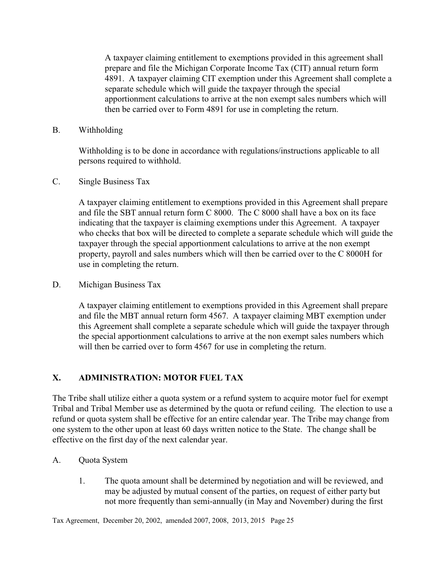A taxpayer claiming entitlement to exemptions provided in this agreement shall prepare and file the Michigan Corporate Income Tax (CIT) annual return form 4891. A taxpayer claiming CIT exemption under this Agreement shall complete a separate schedule which will guide the taxpayer through the special apportionment calculations to arrive at the non exempt sales numbers which will then be carried over to Form 4891 for use in completing the return.

B. Withholding

Withholding is to be done in accordance with regulations/instructions applicable to all persons required to withhold.

C. Single Business Tax

A taxpayer claiming entitlement to exemptions provided in this Agreement shall prepare and file the SBT annual return form C 8000. The C 8000 shall have a box on its face indicating that the taxpayer is claiming exemptions under this Agreement. A taxpayer who checks that box will be directed to complete a separate schedule which will guide the taxpayer through the special apportionment calculations to arrive at the non exempt property, payroll and sales numbers which will then be carried over to the C 8000H for use in completing the return.

D. Michigan Business Tax

A taxpayer claiming entitlement to exemptions provided in this Agreement shall prepare and file the MBT annual return form 4567. A taxpayer claiming MBT exemption under this Agreement shall complete a separate schedule which will guide the taxpayer through the special apportionment calculations to arrive at the non exempt sales numbers which will then be carried over to form 4567 for use in completing the return.

# **X. ADMINISTRATION: MOTOR FUEL TAX**

The Tribe shall utilize either a quota system or a refund system to acquire motor fuel for exempt Tribal and Tribal Member use as determined by the quota or refund ceiling. The election to use a refund or quota system shall be effective for an entire calendar year. The Tribe may change from one system to the other upon at least 60 days written notice to the State. The change shall be effective on the first day of the next calendar year.

- A. Quota System
	- 1. The quota amount shall be determined by negotiation and will be reviewed, and may be adjusted by mutual consent of the parties, on request of either party but not more frequently than semi-annually (in May and November) during the first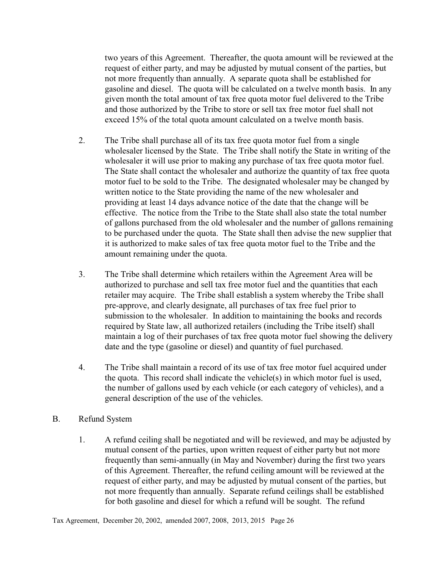two years of this Agreement. Thereafter, the quota amount will be reviewed at the request of either party, and may be adjusted by mutual consent of the parties, but not more frequently than annually. A separate quota shall be established for gasoline and diesel. The quota will be calculated on a twelve month basis. In any given month the total amount of tax free quota motor fuel delivered to the Tribe and those authorized by the Tribe to store or sell tax free motor fuel shall not exceed 15% of the total quota amount calculated on a twelve month basis.

- 2. The Tribe shall purchase all of its tax free quota motor fuel from a single wholesaler licensed by the State. The Tribe shall notify the State in writing of the wholesaler it will use prior to making any purchase of tax free quota motor fuel. The State shall contact the wholesaler and authorize the quantity of tax free quota motor fuel to be sold to the Tribe. The designated wholesaler may be changed by written notice to the State providing the name of the new wholesaler and providing at least 14 days advance notice of the date that the change will be effective. The notice from the Tribe to the State shall also state the total number of gallons purchased from the old wholesaler and the number of gallons remaining to be purchased under the quota. The State shall then advise the new supplier that it is authorized to make sales of tax free quota motor fuel to the Tribe and the amount remaining under the quota.
- 3. The Tribe shall determine which retailers within the Agreement Area will be authorized to purchase and sell tax free motor fuel and the quantities that each retailer may acquire. The Tribe shall establish a system whereby the Tribe shall pre-approve, and clearly designate, all purchases of tax free fuel prior to submission to the wholesaler. In addition to maintaining the books and records required by State law, all authorized retailers (including the Tribe itself) shall maintain a log of their purchases of tax free quota motor fuel showing the delivery date and the type (gasoline or diesel) and quantity of fuel purchased.
- 4. The Tribe shall maintain a record of its use of tax free motor fuel acquired under the quota. This record shall indicate the vehicle(s) in which motor fuel is used, the number of gallons used by each vehicle (or each category of vehicles), and a general description of the use of the vehicles.

#### B. Refund System

1. A refund ceiling shall be negotiated and will be reviewed, and may be adjusted by mutual consent of the parties, upon written request of either party but not more frequently than semi-annually (in May and November) during the first two years of this Agreement. Thereafter, the refund ceiling amount will be reviewed at the request of either party, and may be adjusted by mutual consent of the parties, but not more frequently than annually. Separate refund ceilings shall be established for both gasoline and diesel for which a refund will be sought. The refund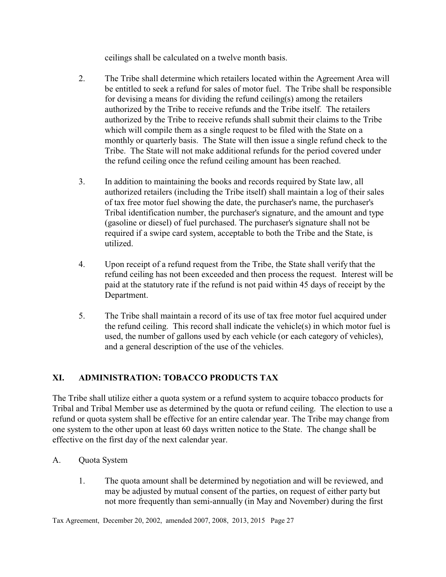ceilings shall be calculated on a twelve month basis.

- 2. The Tribe shall determine which retailers located within the Agreement Area will be entitled to seek a refund for sales of motor fuel. The Tribe shall be responsible for devising a means for dividing the refund ceiling(s) among the retailers authorized by the Tribe to receive refunds and the Tribe itself. The retailers authorized by the Tribe to receive refunds shall submit their claims to the Tribe which will compile them as a single request to be filed with the State on a monthly or quarterly basis. The State will then issue a single refund check to the Tribe. The State will not make additional refunds for the period covered under the refund ceiling once the refund ceiling amount has been reached.
- 3. In addition to maintaining the books and records required by State law, all authorized retailers (including the Tribe itself) shall maintain a log of their sales of tax free motor fuel showing the date, the purchaser's name, the purchaser's Tribal identification number, the purchaser's signature, and the amount and type (gasoline or diesel) of fuel purchased. The purchaser's signature shall not be required if a swipe card system, acceptable to both the Tribe and the State, is utilized.
- 4. Upon receipt of a refund request from the Tribe, the State shall verify that the refund ceiling has not been exceeded and then process the request. Interest will be paid at the statutory rate if the refund is not paid within 45 days of receipt by the Department.
- 5. The Tribe shall maintain a record of its use of tax free motor fuel acquired under the refund ceiling. This record shall indicate the vehicle(s) in which motor fuel is used, the number of gallons used by each vehicle (or each category of vehicles), and a general description of the use of the vehicles.

# **XI. ADMINISTRATION: TOBACCO PRODUCTS TAX**

The Tribe shall utilize either a quota system or a refund system to acquire tobacco products for Tribal and Tribal Member use as determined by the quota or refund ceiling. The election to use a refund or quota system shall be effective for an entire calendar year. The Tribe may change from one system to the other upon at least 60 days written notice to the State. The change shall be effective on the first day of the next calendar year.

- A. Quota System
	- 1. The quota amount shall be determined by negotiation and will be reviewed, and may be adjusted by mutual consent of the parties, on request of either party but not more frequently than semi-annually (in May and November) during the first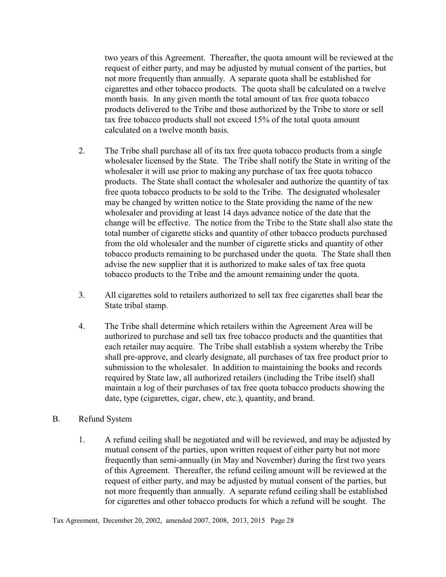two years of this Agreement. Thereafter, the quota amount will be reviewed at the request of either party, and may be adjusted by mutual consent of the parties, but not more frequently than annually. A separate quota shall be established for cigarettes and other tobacco products. The quota shall be calculated on a twelve month basis. In any given month the total amount of tax free quota tobacco products delivered to the Tribe and those authorized by the Tribe to store or sell tax free tobacco products shall not exceed 15% of the total quota amount calculated on a twelve month basis.

- 2. The Tribe shall purchase all of its tax free quota tobacco products from a single wholesaler licensed by the State. The Tribe shall notify the State in writing of the wholesaler it will use prior to making any purchase of tax free quota tobacco products. The State shall contact the wholesaler and authorize the quantity of tax free quota tobacco products to be sold to the Tribe. The designated wholesaler may be changed by written notice to the State providing the name of the new wholesaler and providing at least 14 days advance notice of the date that the change will be effective. The notice from the Tribe to the State shall also state the total number of cigarette sticks and quantity of other tobacco products purchased from the old wholesaler and the number of cigarette sticks and quantity of other tobacco products remaining to be purchased under the quota. The State shall then advise the new supplier that it is authorized to make sales of tax free quota tobacco products to the Tribe and the amount remaining under the quota.
- 3. All cigarettes sold to retailers authorized to sell tax free cigarettes shall bear the State tribal stamp.
- 4. The Tribe shall determine which retailers within the Agreement Area will be authorized to purchase and sell tax free tobacco products and the quantities that each retailer may acquire. The Tribe shall establish a system whereby the Tribe shall pre-approve, and clearly designate, all purchases of tax free product prior to submission to the wholesaler. In addition to maintaining the books and records required by State law, all authorized retailers (including the Tribe itself) shall maintain a log of their purchases of tax free quota tobacco products showing the date, type (cigarettes, cigar, chew, etc.), quantity, and brand.

#### B. Refund System

1. A refund ceiling shall be negotiated and will be reviewed, and may be adjusted by mutual consent of the parties, upon written request of either party but not more frequently than semi-annually (in May and November) during the first two years of this Agreement. Thereafter, the refund ceiling amount will be reviewed at the request of either party, and may be adjusted by mutual consent of the parties, but not more frequently than annually. A separate refund ceiling shall be established for cigarettes and other tobacco products for which a refund will be sought. The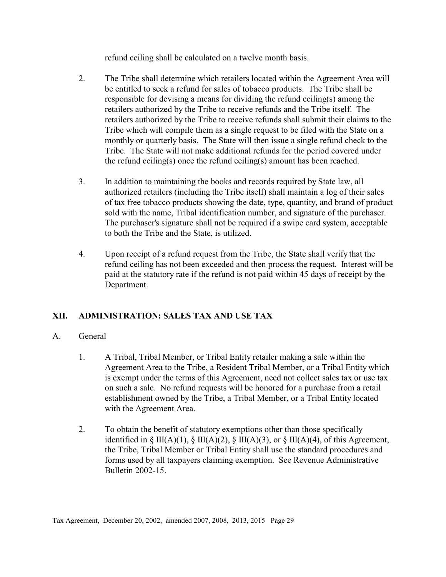refund ceiling shall be calculated on a twelve month basis.

- 2. The Tribe shall determine which retailers located within the Agreement Area will be entitled to seek a refund for sales of tobacco products. The Tribe shall be responsible for devising a means for dividing the refund ceiling(s) among the retailers authorized by the Tribe to receive refunds and the Tribe itself. The retailers authorized by the Tribe to receive refunds shall submit their claims to the Tribe which will compile them as a single request to be filed with the State on a monthly or quarterly basis. The State will then issue a single refund check to the Tribe. The State will not make additional refunds for the period covered under the refund ceiling(s) once the refund ceiling(s) amount has been reached.
- 3. In addition to maintaining the books and records required by State law, all authorized retailers (including the Tribe itself) shall maintain a log of their sales of tax free tobacco products showing the date, type, quantity, and brand of product sold with the name, Tribal identification number, and signature of the purchaser. The purchaser's signature shall not be required if a swipe card system, acceptable to both the Tribe and the State, is utilized.
- 4. Upon receipt of a refund request from the Tribe, the State shall verify that the refund ceiling has not been exceeded and then process the request. Interest will be paid at the statutory rate if the refund is not paid within 45 days of receipt by the Department.

# **XII. ADMINISTRATION: SALES TAX AND USE TAX**

## A. General

- 1. A Tribal, Tribal Member, or Tribal Entity retailer making a sale within the Agreement Area to the Tribe, a Resident Tribal Member, or a Tribal Entity which is exempt under the terms of this Agreement, need not collect sales tax or use tax on such a sale. No refund requests will be honored for a purchase from a retail establishment owned by the Tribe, a Tribal Member, or a Tribal Entity located with the Agreement Area.
- 2. To obtain the benefit of statutory exemptions other than those specifically identified in § III(A)(1), § III(A)(2), § III(A)(3), or § III(A)(4), of this Agreement, the Tribe, Tribal Member or Tribal Entity shall use the standard procedures and forms used by all taxpayers claiming exemption. See Revenue Administrative Bulletin 2002-15.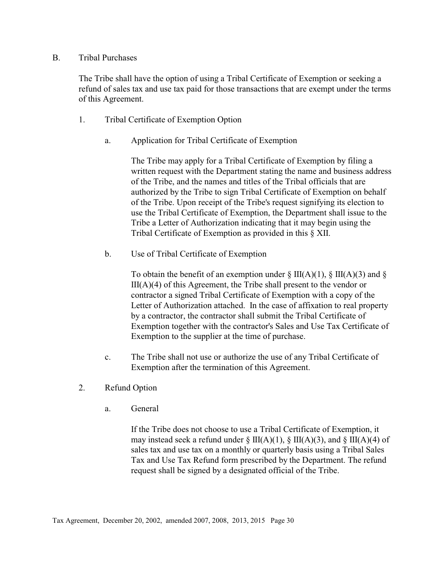#### B. Tribal Purchases

The Tribe shall have the option of using a Tribal Certificate of Exemption or seeking a refund of sales tax and use tax paid for those transactions that are exempt under the terms of this Agreement.

- 1. Tribal Certificate of Exemption Option
	- a. Application for Tribal Certificate of Exemption

The Tribe may apply for a Tribal Certificate of Exemption by filing a written request with the Department stating the name and business address of the Tribe, and the names and titles of the Tribal officials that are authorized by the Tribe to sign Tribal Certificate of Exemption on behalf of the Tribe. Upon receipt of the Tribe's request signifying its election to use the Tribal Certificate of Exemption, the Department shall issue to the Tribe a Letter of Authorization indicating that it may begin using the Tribal Certificate of Exemption as provided in this § XII.

b. Use of Tribal Certificate of Exemption

To obtain the benefit of an exemption under  $\S$  III(A)(1),  $\S$  III(A)(3) and  $\S$  $III(A)(4)$  of this Agreement, the Tribe shall present to the vendor or contractor a signed Tribal Certificate of Exemption with a copy of the Letter of Authorization attached. In the case of affixation to real property by a contractor, the contractor shall submit the Tribal Certificate of Exemption together with the contractor's Sales and Use Tax Certificate of Exemption to the supplier at the time of purchase.

- c. The Tribe shall not use or authorize the use of any Tribal Certificate of Exemption after the termination of this Agreement.
- 2. Refund Option
	- a. General

If the Tribe does not choose to use a Tribal Certificate of Exemption, it may instead seek a refund under  $\S$  III(A)(1),  $\S$  III(A)(3), and  $\S$  III(A)(4) of sales tax and use tax on a monthly or quarterly basis using a Tribal Sales Tax and Use Tax Refund form prescribed by the Department. The refund request shall be signed by a designated official of the Tribe.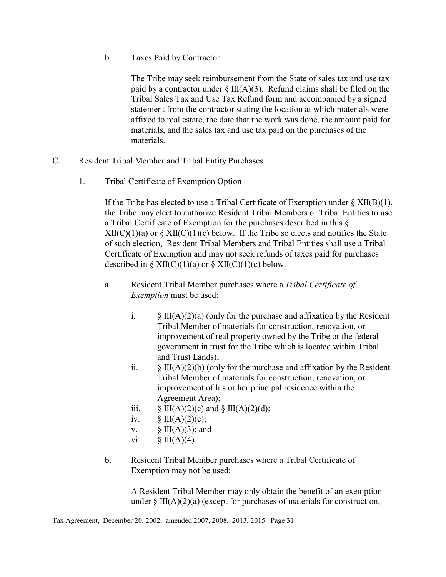b. Taxes Paid by Contractor

The Tribe may seek reimbursement from the State of sales tax and use tax paid by a contractor under  $\S$  III(A)(3). Refund claims shall be filed on the Tribal Sales Tax and Use Tax Refund form and accompanied by a signed statement from the contractor stating the location at which materials were affixed to real estate, the date that the work was done, the amount paid for materials, and the sales tax and use tax paid on the purchases of the materials.

- C. Resident Tribal Member and Tribal Entity Purchases
	- 1. Tribal Certificate of Exemption Option

If the Tribe has elected to use a Tribal Certificate of Exemption under § XII(B)(1), the Tribe may elect to authorize Resident Tribal Members or Tribal Entities to use a Tribal Certificate of Exemption for the purchases described in this §  $XII(C)(1)(a)$  or  $\S XII(C)(1)(c)$  below. If the Tribe so elects and notifies the State of such election, Resident Tribal Members and Tribal Entities shall use a Tribal Certificate of Exemption and may not seek refunds of taxes paid for purchases described in  $\S$  XII(C)(1)(a) or  $\S$  XII(C)(1)(c) below.

- a. Resident Tribal Member purchases where a *Tribal Certificate of Exemption* must be used:
	- i.  $\S$  III(A)(2)(a) (only for the purchase and affixation by the Resident Tribal Member of materials for construction, renovation, or improvement of real property owned by the Tribe or the federal government in trust for the Tribe which is located within Tribal and Trust Lands);
	- ii.  $\S$  III(A)(2)(b) (only for the purchase and affixation by the Resident Tribal Member of materials for construction, renovation, or improvement of his or her principal residence within the Agreement Area);
	- iii.  $\S$  III(A)(2)(c) and  $\S$  III(A)(2)(d);
	- iv.  $\S$  III(A)(2)(e);
	- v.  $\S$  III(A)(3); and
	- vi.  $\S$  III(A)(4).
- b. Resident Tribal Member purchases where a Tribal Certificate of Exemption may not be used:

A Resident Tribal Member may only obtain the benefit of an exemption under  $\S$  III(A)(2)(a) (except for purchases of materials for construction,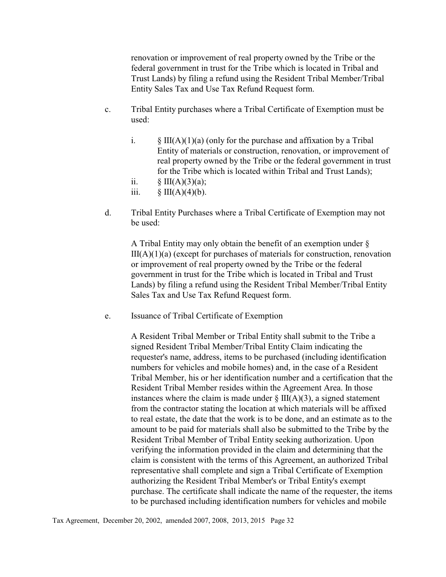renovation or improvement of real property owned by the Tribe or the federal government in trust for the Tribe which is located in Tribal and Trust Lands) by filing a refund using the Resident Tribal Member/Tribal Entity Sales Tax and Use Tax Refund Request form.

- c. Tribal Entity purchases where a Tribal Certificate of Exemption must be used:
	- i.  $\S$  III(A)(1)(a) (only for the purchase and affixation by a Tribal Entity of materials or construction, renovation, or improvement of real property owned by the Tribe or the federal government in trust for the Tribe which is located within Tribal and Trust Lands);
	- ii.  $\S \amalg(A)(3)(a);$
	- iii.  $\S$  III(A)(4)(b).
- d. Tribal Entity Purchases where a Tribal Certificate of Exemption may not be used:

A Tribal Entity may only obtain the benefit of an exemption under §  $III(A)(1)(a)$  (except for purchases of materials for construction, renovation or improvement of real property owned by the Tribe or the federal government in trust for the Tribe which is located in Tribal and Trust Lands) by filing a refund using the Resident Tribal Member/Tribal Entity Sales Tax and Use Tax Refund Request form.

e. Issuance of Tribal Certificate of Exemption

A Resident Tribal Member or Tribal Entity shall submit to the Tribe a signed Resident Tribal Member/Tribal Entity Claim indicating the requester's name, address, items to be purchased (including identification numbers for vehicles and mobile homes) and, in the case of a Resident Tribal Member, his or her identification number and a certification that the Resident Tribal Member resides within the Agreement Area. In those instances where the claim is made under  $\S$  III(A)(3), a signed statement from the contractor stating the location at which materials will be affixed to real estate, the date that the work is to be done, and an estimate as to the amount to be paid for materials shall also be submitted to the Tribe by the Resident Tribal Member of Tribal Entity seeking authorization. Upon verifying the information provided in the claim and determining that the claim is consistent with the terms of this Agreement, an authorized Tribal representative shall complete and sign a Tribal Certificate of Exemption authorizing the Resident Tribal Member's or Tribal Entity's exempt purchase. The certificate shall indicate the name of the requester, the items to be purchased including identification numbers for vehicles and mobile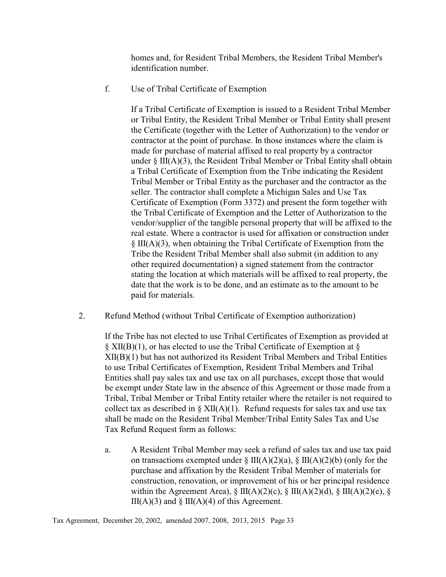homes and, for Resident Tribal Members, the Resident Tribal Member's identification number.

f. Use of Tribal Certificate of Exemption

If a Tribal Certificate of Exemption is issued to a Resident Tribal Member or Tribal Entity, the Resident Tribal Member or Tribal Entity shall present the Certificate (together with the Letter of Authorization) to the vendor or contractor at the point of purchase. In those instances where the claim is made for purchase of material affixed to real property by a contractor under § III(A)(3), the Resident Tribal Member or Tribal Entity shall obtain a Tribal Certificate of Exemption from the Tribe indicating the Resident Tribal Member or Tribal Entity as the purchaser and the contractor as the seller. The contractor shall complete a Michigan Sales and Use Tax Certificate of Exemption (Form 3372) and present the form together with the Tribal Certificate of Exemption and the Letter of Authorization to the vendor/supplier of the tangible personal property that will be affixed to the real estate. Where a contractor is used for affixation or construction under § III(A)(3), when obtaining the Tribal Certificate of Exemption from the Tribe the Resident Tribal Member shall also submit (in addition to any other required documentation) a signed statement from the contractor stating the location at which materials will be affixed to real property, the date that the work is to be done, and an estimate as to the amount to be paid for materials.

2. Refund Method (without Tribal Certificate of Exemption authorization)

If the Tribe has not elected to use Tribal Certificates of Exemption as provided at  $\S$  XII(B)(1), or has elected to use the Tribal Certificate of Exemption at  $\S$ XII(B)(1) but has not authorized its Resident Tribal Members and Tribal Entities to use Tribal Certificates of Exemption, Resident Tribal Members and Tribal Entities shall pay sales tax and use tax on all purchases, except those that would be exempt under State law in the absence of this Agreement or those made from a Tribal, Tribal Member or Tribal Entity retailer where the retailer is not required to collect tax as described in  $\S XII(A)(1)$ . Refund requests for sales tax and use tax shall be made on the Resident Tribal Member/Tribal Entity Sales Tax and Use Tax Refund Request form as follows:

a. A Resident Tribal Member may seek a refund of sales tax and use tax paid on transactions exempted under  $\S$  III(A)(2)(a),  $\S$  III(A)(2)(b) (only for the purchase and affixation by the Resident Tribal Member of materials for construction, renovation, or improvement of his or her principal residence within the Agreement Area),  $\S$  III(A)(2)(c),  $\S$  III(A)(2)(d),  $\S$  III(A)(2)(e),  $\S$  $III(A)(3)$  and  $\S$   $III(A)(4)$  of this Agreement.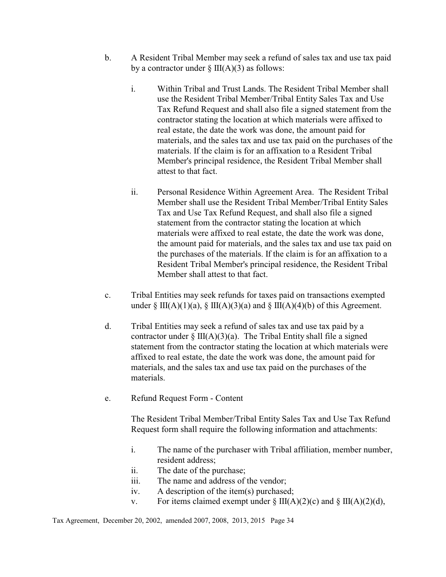- b. A Resident Tribal Member may seek a refund of sales tax and use tax paid by a contractor under  $\S$  III(A)(3) as follows:
	- i. Within Tribal and Trust Lands. The Resident Tribal Member shall use the Resident Tribal Member/Tribal Entity Sales Tax and Use Tax Refund Request and shall also file a signed statement from the contractor stating the location at which materials were affixed to real estate, the date the work was done, the amount paid for materials, and the sales tax and use tax paid on the purchases of the materials. If the claim is for an affixation to a Resident Tribal Member's principal residence, the Resident Tribal Member shall attest to that fact.
	- ii. Personal Residence Within Agreement Area. The Resident Tribal Member shall use the Resident Tribal Member/Tribal Entity Sales Tax and Use Tax Refund Request, and shall also file a signed statement from the contractor stating the location at which materials were affixed to real estate, the date the work was done, the amount paid for materials, and the sales tax and use tax paid on the purchases of the materials. If the claim is for an affixation to a Resident Tribal Member's principal residence, the Resident Tribal Member shall attest to that fact.
- c. Tribal Entities may seek refunds for taxes paid on transactions exempted under § III(A)(1)(a), § III(A)(3)(a) and § III(A)(4)(b) of this Agreement.
- d. Tribal Entities may seek a refund of sales tax and use tax paid by a contractor under  $\S$  III(A)(3)(a). The Tribal Entity shall file a signed statement from the contractor stating the location at which materials were affixed to real estate, the date the work was done, the amount paid for materials, and the sales tax and use tax paid on the purchases of the materials.
- e. Refund Request Form Content

The Resident Tribal Member/Tribal Entity Sales Tax and Use Tax Refund Request form shall require the following information and attachments:

- i. The name of the purchaser with Tribal affiliation, member number, resident address;
- ii. The date of the purchase;
- iii. The name and address of the vendor;
- iv. A description of the item(s) purchased;
- v. For items claimed exempt under  $\S$  III(A)(2)(c) and  $\S$  III(A)(2)(d),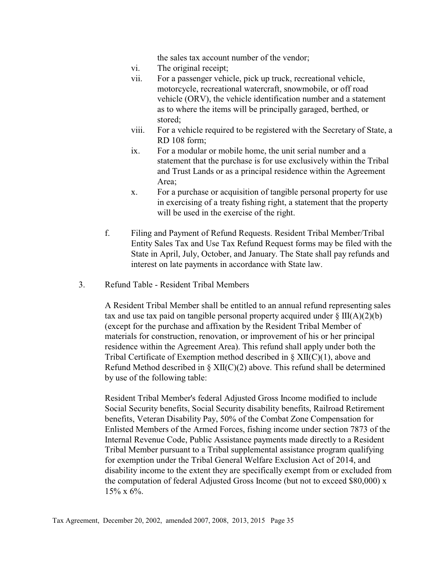the sales tax account number of the vendor;

- vi. The original receipt;
- vii. For a passenger vehicle, pick up truck, recreational vehicle, motorcycle, recreational watercraft, snowmobile, or off road vehicle (ORV), the vehicle identification number and a statement as to where the items will be principally garaged, berthed, or stored;
- viii. For a vehicle required to be registered with the Secretary of State, a RD 108 form;
- ix. For a modular or mobile home, the unit serial number and a statement that the purchase is for use exclusively within the Tribal and Trust Lands or as a principal residence within the Agreement Area;
- x. For a purchase or acquisition of tangible personal property for use in exercising of a treaty fishing right, a statement that the property will be used in the exercise of the right.
- f. Filing and Payment of Refund Requests. Resident Tribal Member/Tribal Entity Sales Tax and Use Tax Refund Request forms may be filed with the State in April, July, October, and January. The State shall pay refunds and interest on late payments in accordance with State law.
- 3. Refund Table Resident Tribal Members

A Resident Tribal Member shall be entitled to an annual refund representing sales tax and use tax paid on tangible personal property acquired under  $\S$  III(A)(2)(b) (except for the purchase and affixation by the Resident Tribal Member of materials for construction, renovation, or improvement of his or her principal residence within the Agreement Area). This refund shall apply under both the Tribal Certificate of Exemption method described in § XII(C)(1), above and Refund Method described in  $\S XII(C)(2)$  above. This refund shall be determined by use of the following table:

Resident Tribal Member's federal Adjusted Gross Income modified to include Social Security benefits, Social Security disability benefits, Railroad Retirement benefits, Veteran Disability Pay, 50% of the Combat Zone Compensation for Enlisted Members of the Armed Forces, fishing income under section 7873 of the Internal Revenue Code, Public Assistance payments made directly to a Resident Tribal Member pursuant to a Tribal supplemental assistance program qualifying for exemption under the Tribal General Welfare Exclusion Act of 2014, and disability income to the extent they are specifically exempt from or excluded from the computation of federal Adjusted Gross Income (but not to exceed \$80,000) x  $15\% \times 6\%$ .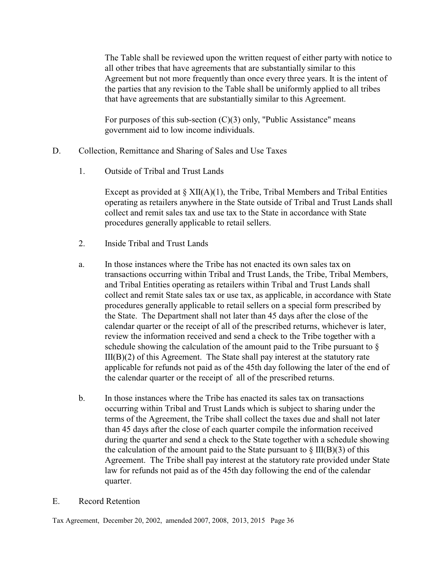The Table shall be reviewed upon the written request of either party with notice to all other tribes that have agreements that are substantially similar to this Agreement but not more frequently than once every three years. It is the intent of the parties that any revision to the Table shall be uniformly applied to all tribes that have agreements that are substantially similar to this Agreement.

For purposes of this sub-section (C)(3) only, "Public Assistance" means government aid to low income individuals.

- D. Collection, Remittance and Sharing of Sales and Use Taxes
	- 1. Outside of Tribal and Trust Lands

Except as provided at  $\S XII(A)(1)$ , the Tribe, Tribal Members and Tribal Entities operating as retailers anywhere in the State outside of Tribal and Trust Lands shall collect and remit sales tax and use tax to the State in accordance with State procedures generally applicable to retail sellers.

- 2. Inside Tribal and Trust Lands
- a. In those instances where the Tribe has not enacted its own sales tax on transactions occurring within Tribal and Trust Lands, the Tribe, Tribal Members, and Tribal Entities operating as retailers within Tribal and Trust Lands shall collect and remit State sales tax or use tax, as applicable, in accordance with State procedures generally applicable to retail sellers on a special form prescribed by the State. The Department shall not later than 45 days after the close of the calendar quarter or the receipt of all of the prescribed returns, whichever is later, review the information received and send a check to the Tribe together with a schedule showing the calculation of the amount paid to the Tribe pursuant to §  $III(B)(2)$  of this Agreement. The State shall pay interest at the statutory rate applicable for refunds not paid as of the 45th day following the later of the end of the calendar quarter or the receipt of all of the prescribed returns.
- b. In those instances where the Tribe has enacted its sales tax on transactions occurring within Tribal and Trust Lands which is subject to sharing under the terms of the Agreement, the Tribe shall collect the taxes due and shall not later than 45 days after the close of each quarter compile the information received during the quarter and send a check to the State together with a schedule showing the calculation of the amount paid to the State pursuant to  $\S$  III(B)(3) of this Agreement. The Tribe shall pay interest at the statutory rate provided under State law for refunds not paid as of the 45th day following the end of the calendar quarter.
- E. Record Retention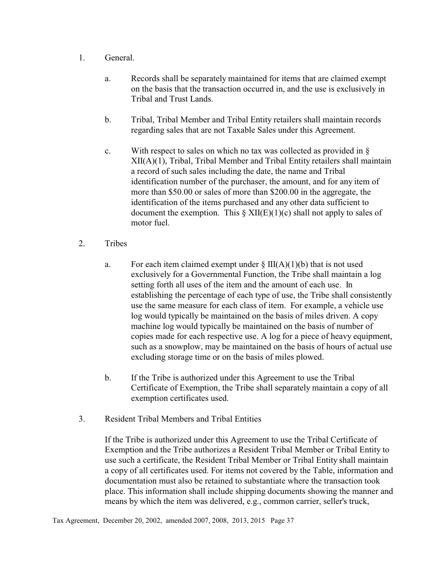- 1. General.
	- a. Records shall be separately maintained for items that are claimed exempt on the basis that the transaction occurred in, and the use is exclusively in Tribal and Trust Lands.
	- b. Tribal, Tribal Member and Tribal Entity retailers shall maintain records regarding sales that are not Taxable Sales under this Agreement.
	- c. With respect to sales on which no tax was collected as provided in § XII(A)(1), Tribal, Tribal Member and Tribal Entity retailers shall maintain a record of such sales including the date, the name and Tribal identification number of the purchaser, the amount, and for any item of more than \$50.00 or sales of more than \$200.00 in the aggregate, the identification of the items purchased and any other data sufficient to document the exemption. This  $\S XII(E)(1)(c)$  shall not apply to sales of motor fuel.
- 2. Tribes
	- a. For each item claimed exempt under  $\S \$  III(A)(1)(b) that is not used exclusively for a Governmental Function, the Tribe shall maintain a log setting forth all uses of the item and the amount of each use. In establishing the percentage of each type of use, the Tribe shall consistently use the same measure for each class of item. For example, a vehicle use log would typically be maintained on the basis of miles driven. A copy machine log would typically be maintained on the basis of number of copies made for each respective use. A log for a piece of heavy equipment, such as a snowplow, may be maintained on the basis of hours of actual use excluding storage time or on the basis of miles plowed.
	- b. If the Tribe is authorized under this Agreement to use the Tribal Certificate of Exemption, the Tribe shall separately maintain a copy of all exemption certificates used.
- 3. Resident Tribal Members and Tribal Entities

If the Tribe is authorized under this Agreement to use the Tribal Certificate of Exemption and the Tribe authorizes a Resident Tribal Member or Tribal Entity to use such a certificate, the Resident Tribal Member or Tribal Entity shall maintain a copy of all certificates used. For items not covered by the Table, information and documentation must also be retained to substantiate where the transaction took place. This information shall include shipping documents showing the manner and means by which the item was delivered, e.g., common carrier, seller's truck,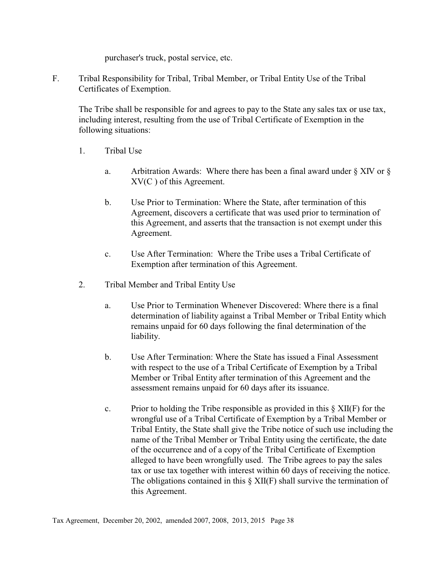purchaser's truck, postal service, etc.

F. Tribal Responsibility for Tribal, Tribal Member, or Tribal Entity Use of the Tribal Certificates of Exemption.

The Tribe shall be responsible for and agrees to pay to the State any sales tax or use tax, including interest, resulting from the use of Tribal Certificate of Exemption in the following situations:

- 1. Tribal Use
	- a. Arbitration Awards: Where there has been a final award under § XIV or § XV(C ) of this Agreement.
	- b. Use Prior to Termination: Where the State, after termination of this Agreement, discovers a certificate that was used prior to termination of this Agreement, and asserts that the transaction is not exempt under this Agreement.
	- c. Use After Termination: Where the Tribe uses a Tribal Certificate of Exemption after termination of this Agreement.
- 2. Tribal Member and Tribal Entity Use
	- a. Use Prior to Termination Whenever Discovered: Where there is a final determination of liability against a Tribal Member or Tribal Entity which remains unpaid for 60 days following the final determination of the liability.
	- b. Use After Termination: Where the State has issued a Final Assessment with respect to the use of a Tribal Certificate of Exemption by a Tribal Member or Tribal Entity after termination of this Agreement and the assessment remains unpaid for 60 days after its issuance.
	- c. Prior to holding the Tribe responsible as provided in this  $\S XII(F)$  for the wrongful use of a Tribal Certificate of Exemption by a Tribal Member or Tribal Entity, the State shall give the Tribe notice of such use including the name of the Tribal Member or Tribal Entity using the certificate, the date of the occurrence and of a copy of the Tribal Certificate of Exemption alleged to have been wrongfully used. The Tribe agrees to pay the sales tax or use tax together with interest within 60 days of receiving the notice. The obligations contained in this  $\S$  XII(F) shall survive the termination of this Agreement.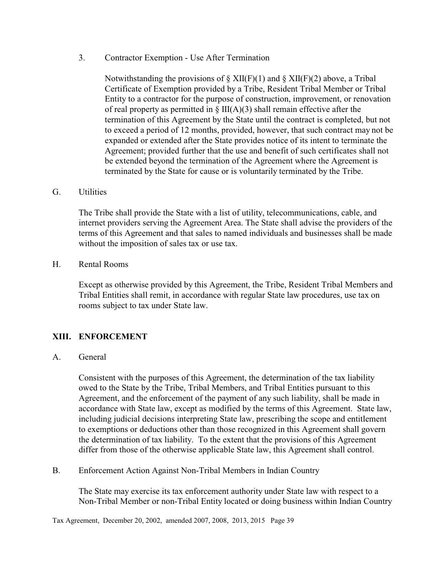3. Contractor Exemption - Use After Termination

Notwithstanding the provisions of  $\S XII(F)(1)$  and  $\S XII(F)(2)$  above, a Tribal Certificate of Exemption provided by a Tribe, Resident Tribal Member or Tribal Entity to a contractor for the purpose of construction, improvement, or renovation of real property as permitted in  $\S$  III(A)(3) shall remain effective after the termination of this Agreement by the State until the contract is completed, but not to exceed a period of 12 months, provided, however, that such contract may not be expanded or extended after the State provides notice of its intent to terminate the Agreement; provided further that the use and benefit of such certificates shall not be extended beyond the termination of the Agreement where the Agreement is terminated by the State for cause or is voluntarily terminated by the Tribe.

#### G. Utilities

The Tribe shall provide the State with a list of utility, telecommunications, cable, and internet providers serving the Agreement Area. The State shall advise the providers of the terms of this Agreement and that sales to named individuals and businesses shall be made without the imposition of sales tax or use tax.

#### H. Rental Rooms

Except as otherwise provided by this Agreement, the Tribe, Resident Tribal Members and Tribal Entities shall remit, in accordance with regular State law procedures, use tax on rooms subject to tax under State law.

#### **XIII. ENFORCEMENT**

#### A. General

Consistent with the purposes of this Agreement, the determination of the tax liability owed to the State by the Tribe, Tribal Members, and Tribal Entities pursuant to this Agreement, and the enforcement of the payment of any such liability, shall be made in accordance with State law, except as modified by the terms of this Agreement. State law, including judicial decisions interpreting State law, prescribing the scope and entitlement to exemptions or deductions other than those recognized in this Agreement shall govern the determination of tax liability. To the extent that the provisions of this Agreement differ from those of the otherwise applicable State law, this Agreement shall control.

#### B. Enforcement Action Against Non-Tribal Members in Indian Country

The State may exercise its tax enforcement authority under State law with respect to a Non-Tribal Member or non-Tribal Entity located or doing business within Indian Country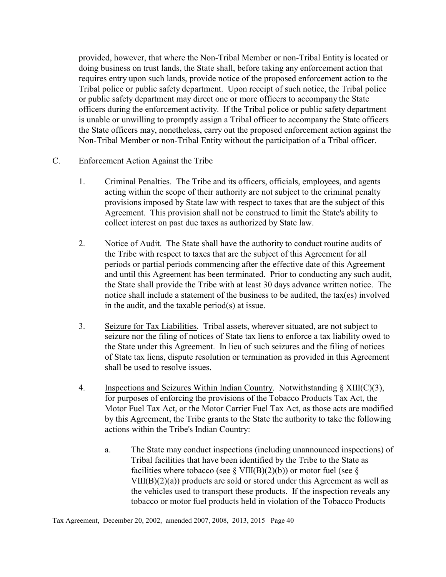provided, however, that where the Non-Tribal Member or non-Tribal Entity is located or doing business on trust lands, the State shall, before taking any enforcement action that requires entry upon such lands, provide notice of the proposed enforcement action to the Tribal police or public safety department. Upon receipt of such notice, the Tribal police or public safety department may direct one or more officers to accompany the State officers during the enforcement activity. If the Tribal police or public safety department is unable or unwilling to promptly assign a Tribal officer to accompany the State officers the State officers may, nonetheless, carry out the proposed enforcement action against the Non-Tribal Member or non-Tribal Entity without the participation of a Tribal officer.

- C. Enforcement Action Against the Tribe
	- 1. Criminal Penalties. The Tribe and its officers, officials, employees, and agents acting within the scope of their authority are not subject to the criminal penalty provisions imposed by State law with respect to taxes that are the subject of this Agreement. This provision shall not be construed to limit the State's ability to collect interest on past due taxes as authorized by State law.
	- 2. Notice of Audit. The State shall have the authority to conduct routine audits of the Tribe with respect to taxes that are the subject of this Agreement for all periods or partial periods commencing after the effective date of this Agreement and until this Agreement has been terminated. Prior to conducting any such audit, the State shall provide the Tribe with at least 30 days advance written notice. The notice shall include a statement of the business to be audited, the tax(es) involved in the audit, and the taxable period(s) at issue.
	- 3. Seizure for Tax Liabilities. Tribal assets, wherever situated, are not subject to seizure nor the filing of notices of State tax liens to enforce a tax liability owed to the State under this Agreement. In lieu of such seizures and the filing of notices of State tax liens, dispute resolution or termination as provided in this Agreement shall be used to resolve issues.
	- 4. Inspections and Seizures Within Indian Country. Notwithstanding  $\S$  XIII(C)(3), for purposes of enforcing the provisions of the Tobacco Products Tax Act, the Motor Fuel Tax Act, or the Motor Carrier Fuel Tax Act, as those acts are modified by this Agreement, the Tribe grants to the State the authority to take the following actions within the Tribe's Indian Country:
		- a. The State may conduct inspections (including unannounced inspections) of Tribal facilities that have been identified by the Tribe to the State as facilities where tobacco (see  $\S$  VIII(B)(2)(b)) or motor fuel (see  $\S$ VIII(B)(2)(a)) products are sold or stored under this Agreement as well as the vehicles used to transport these products. If the inspection reveals any tobacco or motor fuel products held in violation of the Tobacco Products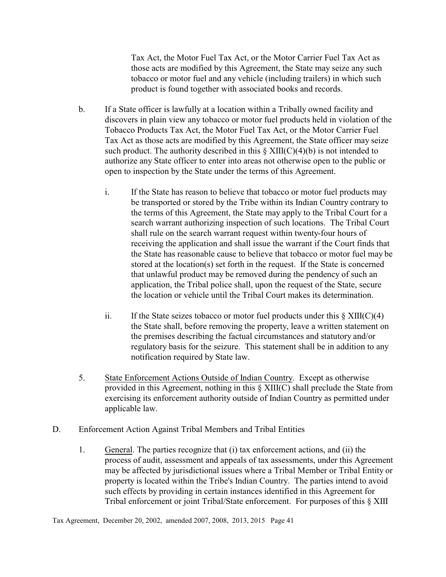Tax Act, the Motor Fuel Tax Act, or the Motor Carrier Fuel Tax Act as those acts are modified by this Agreement, the State may seize any such tobacco or motor fuel and any vehicle (including trailers) in which such product is found together with associated books and records.

- b. If a State officer is lawfully at a location within a Tribally owned facility and discovers in plain view any tobacco or motor fuel products held in violation of the Tobacco Products Tax Act, the Motor Fuel Tax Act, or the Motor Carrier Fuel Tax Act as those acts are modified by this Agreement, the State officer may seize such product. The authority described in this  $\S XIII(C)(4)(b)$  is not intended to authorize any State officer to enter into areas not otherwise open to the public or open to inspection by the State under the terms of this Agreement.
	- i. If the State has reason to believe that tobacco or motor fuel products may be transported or stored by the Tribe within its Indian Country contrary to the terms of this Agreement, the State may apply to the Tribal Court for a search warrant authorizing inspection of such locations. The Tribal Court shall rule on the search warrant request within twenty-four hours of receiving the application and shall issue the warrant if the Court finds that the State has reasonable cause to believe that tobacco or motor fuel may be stored at the location(s) set forth in the request. If the State is concerned that unlawful product may be removed during the pendency of such an application, the Tribal police shall, upon the request of the State, secure the location or vehicle until the Tribal Court makes its determination.
	- ii. If the State seizes tobacco or motor fuel products under this  $\S$  XIII(C)(4) the State shall, before removing the property, leave a written statement on the premises describing the factual circumstances and statutory and/or regulatory basis for the seizure. This statement shall be in addition to any notification required by State law.
- 5. State Enforcement Actions Outside of Indian Country. Except as otherwise provided in this Agreement, nothing in this § XIII(C) shall preclude the State from exercising its enforcement authority outside of Indian Country as permitted under applicable law.
- D. Enforcement Action Against Tribal Members and Tribal Entities
	- 1. General. The parties recognize that (i) tax enforcement actions, and (ii) the process of audit, assessment and appeals of tax assessments, under this Agreement may be affected by jurisdictional issues where a Tribal Member or Tribal Entity or property is located within the Tribe's Indian Country. The parties intend to avoid such effects by providing in certain instances identified in this Agreement for Tribal enforcement or joint Tribal/State enforcement. For purposes of this § XIII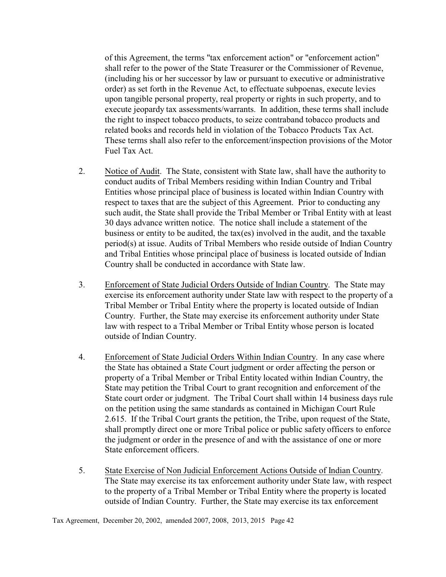of this Agreement, the terms "tax enforcement action" or "enforcement action" shall refer to the power of the State Treasurer or the Commissioner of Revenue, (including his or her successor by law or pursuant to executive or administrative order) as set forth in the Revenue Act, to effectuate subpoenas, execute levies upon tangible personal property, real property or rights in such property, and to execute jeopardy tax assessments/warrants. In addition, these terms shall include the right to inspect tobacco products, to seize contraband tobacco products and related books and records held in violation of the Tobacco Products Tax Act. These terms shall also refer to the enforcement/inspection provisions of the Motor Fuel Tax Act.

- 2. Notice of Audit. The State, consistent with State law, shall have the authority to conduct audits of Tribal Members residing within Indian Country and Tribal Entities whose principal place of business is located within Indian Country with respect to taxes that are the subject of this Agreement. Prior to conducting any such audit, the State shall provide the Tribal Member or Tribal Entity with at least 30 days advance written notice. The notice shall include a statement of the business or entity to be audited, the tax(es) involved in the audit, and the taxable period(s) at issue. Audits of Tribal Members who reside outside of Indian Country and Tribal Entities whose principal place of business is located outside of Indian Country shall be conducted in accordance with State law.
- 3. Enforcement of State Judicial Orders Outside of Indian Country. The State may exercise its enforcement authority under State law with respect to the property of a Tribal Member or Tribal Entity where the property is located outside of Indian Country. Further, the State may exercise its enforcement authority under State law with respect to a Tribal Member or Tribal Entity whose person is located outside of Indian Country.
- 4. Enforcement of State Judicial Orders Within Indian Country. In any case where the State has obtained a State Court judgment or order affecting the person or property of a Tribal Member or Tribal Entity located within Indian Country, the State may petition the Tribal Court to grant recognition and enforcement of the State court order or judgment. The Tribal Court shall within 14 business days rule on the petition using the same standards as contained in Michigan Court Rule 2.615. If the Tribal Court grants the petition, the Tribe, upon request of the State, shall promptly direct one or more Tribal police or public safety officers to enforce the judgment or order in the presence of and with the assistance of one or more State enforcement officers.
- 5. State Exercise of Non Judicial Enforcement Actions Outside of Indian Country. The State may exercise its tax enforcement authority under State law, with respect to the property of a Tribal Member or Tribal Entity where the property is located outside of Indian Country. Further, the State may exercise its tax enforcement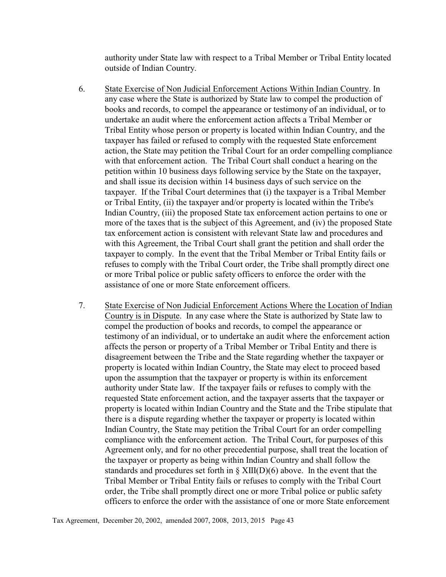authority under State law with respect to a Tribal Member or Tribal Entity located outside of Indian Country.

- 6. State Exercise of Non Judicial Enforcement Actions Within Indian Country. In any case where the State is authorized by State law to compel the production of books and records, to compel the appearance or testimony of an individual, or to undertake an audit where the enforcement action affects a Tribal Member or Tribal Entity whose person or property is located within Indian Country, and the taxpayer has failed or refused to comply with the requested State enforcement action, the State may petition the Tribal Court for an order compelling compliance with that enforcement action. The Tribal Court shall conduct a hearing on the petition within 10 business days following service by the State on the taxpayer, and shall issue its decision within 14 business days of such service on the taxpayer. If the Tribal Court determines that (i) the taxpayer is a Tribal Member or Tribal Entity, (ii) the taxpayer and/or property is located within the Tribe's Indian Country, (iii) the proposed State tax enforcement action pertains to one or more of the taxes that is the subject of this Agreement, and (iv) the proposed State tax enforcement action is consistent with relevant State law and procedures and with this Agreement, the Tribal Court shall grant the petition and shall order the taxpayer to comply. In the event that the Tribal Member or Tribal Entity fails or refuses to comply with the Tribal Court order, the Tribe shall promptly direct one or more Tribal police or public safety officers to enforce the order with the assistance of one or more State enforcement officers.
- 7. State Exercise of Non Judicial Enforcement Actions Where the Location of Indian Country is in Dispute. In any case where the State is authorized by State law to compel the production of books and records, to compel the appearance or testimony of an individual, or to undertake an audit where the enforcement action affects the person or property of a Tribal Member or Tribal Entity and there is disagreement between the Tribe and the State regarding whether the taxpayer or property is located within Indian Country, the State may elect to proceed based upon the assumption that the taxpayer or property is within its enforcement authority under State law. If the taxpayer fails or refuses to comply with the requested State enforcement action, and the taxpayer asserts that the taxpayer or property is located within Indian Country and the State and the Tribe stipulate that there is a dispute regarding whether the taxpayer or property is located within Indian Country, the State may petition the Tribal Court for an order compelling compliance with the enforcement action. The Tribal Court, for purposes of this Agreement only, and for no other precedential purpose, shall treat the location of the taxpayer or property as being within Indian Country and shall follow the standards and procedures set forth in  $\S$  XIII(D)(6) above. In the event that the Tribal Member or Tribal Entity fails or refuses to comply with the Tribal Court order, the Tribe shall promptly direct one or more Tribal police or public safety officers to enforce the order with the assistance of one or more State enforcement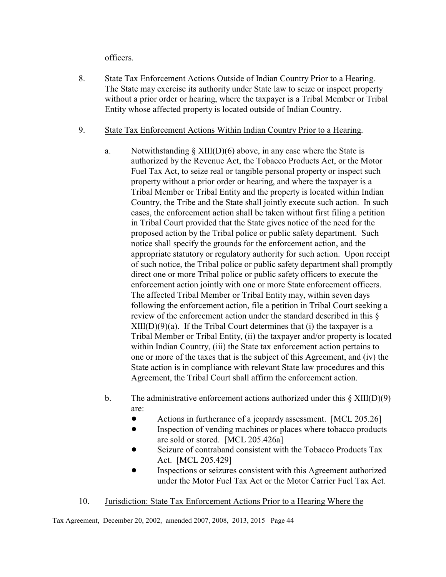officers.

- 8. State Tax Enforcement Actions Outside of Indian Country Prior to a Hearing. The State may exercise its authority under State law to seize or inspect property without a prior order or hearing, where the taxpayer is a Tribal Member or Tribal Entity whose affected property is located outside of Indian Country.
- 9. State Tax Enforcement Actions Within Indian Country Prior to a Hearing.
	- a. Notwithstanding  $\S$  XIII(D)(6) above, in any case where the State is authorized by the Revenue Act, the Tobacco Products Act, or the Motor Fuel Tax Act, to seize real or tangible personal property or inspect such property without a prior order or hearing, and where the taxpayer is a Tribal Member or Tribal Entity and the property is located within Indian Country, the Tribe and the State shall jointly execute such action. In such cases, the enforcement action shall be taken without first filing a petition in Tribal Court provided that the State gives notice of the need for the proposed action by the Tribal police or public safety department. Such notice shall specify the grounds for the enforcement action, and the appropriate statutory or regulatory authority for such action. Upon receipt of such notice, the Tribal police or public safety department shall promptly direct one or more Tribal police or public safety officers to execute the enforcement action jointly with one or more State enforcement officers. The affected Tribal Member or Tribal Entity may, within seven days following the enforcement action, file a petition in Tribal Court seeking a review of the enforcement action under the standard described in this §  $XIII(D)(9)(a)$ . If the Tribal Court determines that (i) the taxpayer is a Tribal Member or Tribal Entity, (ii) the taxpayer and/or property is located within Indian Country, (iii) the State tax enforcement action pertains to one or more of the taxes that is the subject of this Agreement, and (iv) the State action is in compliance with relevant State law procedures and this Agreement, the Tribal Court shall affirm the enforcement action.
	- b. The administrative enforcement actions authorized under this  $\S$  XIII(D)(9) are:
		- Actions in furtherance of a jeopardy assessment. [MCL 205.26]
		- Inspection of vending machines or places where tobacco products are sold or stored. [MCL 205.426a]
		- Seizure of contraband consistent with the Tobacco Products Tax Act. [MCL 205.429]
		- ! Inspections or seizures consistent with this Agreement authorized under the Motor Fuel Tax Act or the Motor Carrier Fuel Tax Act.

# 10. Jurisdiction: State Tax Enforcement Actions Prior to a Hearing Where the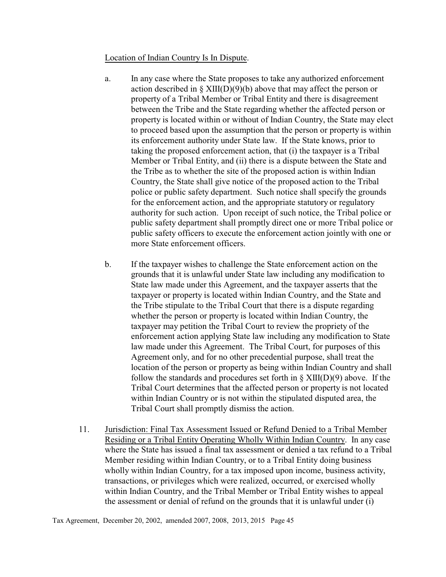#### Location of Indian Country Is In Dispute.

- a. In any case where the State proposes to take any authorized enforcement action described in  $\S$  XIII(D)(9)(b) above that may affect the person or property of a Tribal Member or Tribal Entity and there is disagreement between the Tribe and the State regarding whether the affected person or property is located within or without of Indian Country, the State may elect to proceed based upon the assumption that the person or property is within its enforcement authority under State law. If the State knows, prior to taking the proposed enforcement action, that (i) the taxpayer is a Tribal Member or Tribal Entity, and (ii) there is a dispute between the State and the Tribe as to whether the site of the proposed action is within Indian Country, the State shall give notice of the proposed action to the Tribal police or public safety department. Such notice shall specify the grounds for the enforcement action, and the appropriate statutory or regulatory authority for such action. Upon receipt of such notice, the Tribal police or public safety department shall promptly direct one or more Tribal police or public safety officers to execute the enforcement action jointly with one or more State enforcement officers.
- b. If the taxpayer wishes to challenge the State enforcement action on the grounds that it is unlawful under State law including any modification to State law made under this Agreement, and the taxpayer asserts that the taxpayer or property is located within Indian Country, and the State and the Tribe stipulate to the Tribal Court that there is a dispute regarding whether the person or property is located within Indian Country, the taxpayer may petition the Tribal Court to review the propriety of the enforcement action applying State law including any modification to State law made under this Agreement. The Tribal Court, for purposes of this Agreement only, and for no other precedential purpose, shall treat the location of the person or property as being within Indian Country and shall follow the standards and procedures set forth in  $\S$  XIII(D)(9) above. If the Tribal Court determines that the affected person or property is not located within Indian Country or is not within the stipulated disputed area, the Tribal Court shall promptly dismiss the action.
- 11. Jurisdiction: Final Tax Assessment Issued or Refund Denied to a Tribal Member Residing or a Tribal Entity Operating Wholly Within Indian Country. In any case where the State has issued a final tax assessment or denied a tax refund to a Tribal Member residing within Indian Country, or to a Tribal Entity doing business wholly within Indian Country, for a tax imposed upon income, business activity, transactions, or privileges which were realized, occurred, or exercised wholly within Indian Country, and the Tribal Member or Tribal Entity wishes to appeal the assessment or denial of refund on the grounds that it is unlawful under (i)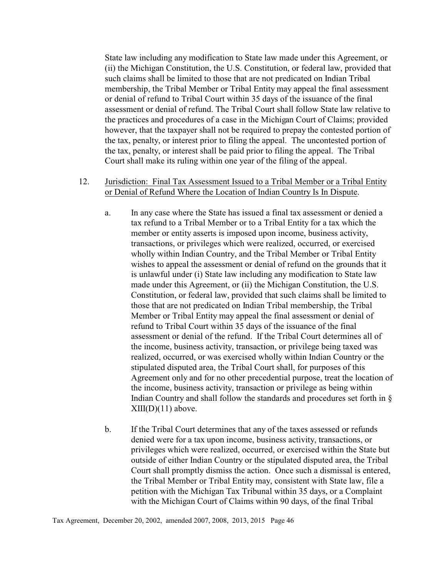State law including any modification to State law made under this Agreement, or (ii) the Michigan Constitution, the U.S. Constitution, or federal law, provided that such claims shall be limited to those that are not predicated on Indian Tribal membership, the Tribal Member or Tribal Entity may appeal the final assessment or denial of refund to Tribal Court within 35 days of the issuance of the final assessment or denial of refund. The Tribal Court shall follow State law relative to the practices and procedures of a case in the Michigan Court of Claims; provided however, that the taxpayer shall not be required to prepay the contested portion of the tax, penalty, or interest prior to filing the appeal. The uncontested portion of the tax, penalty, or interest shall be paid prior to filing the appeal. The Tribal Court shall make its ruling within one year of the filing of the appeal.

#### 12. Jurisdiction: Final Tax Assessment Issued to a Tribal Member or a Tribal Entity or Denial of Refund Where the Location of Indian Country Is In Dispute.

- a. In any case where the State has issued a final tax assessment or denied a tax refund to a Tribal Member or to a Tribal Entity for a tax which the member or entity asserts is imposed upon income, business activity, transactions, or privileges which were realized, occurred, or exercised wholly within Indian Country, and the Tribal Member or Tribal Entity wishes to appeal the assessment or denial of refund on the grounds that it is unlawful under (i) State law including any modification to State law made under this Agreement, or (ii) the Michigan Constitution, the U.S. Constitution, or federal law, provided that such claims shall be limited to those that are not predicated on Indian Tribal membership, the Tribal Member or Tribal Entity may appeal the final assessment or denial of refund to Tribal Court within 35 days of the issuance of the final assessment or denial of the refund. If the Tribal Court determines all of the income, business activity, transaction, or privilege being taxed was realized, occurred, or was exercised wholly within Indian Country or the stipulated disputed area, the Tribal Court shall, for purposes of this Agreement only and for no other precedential purpose, treat the location of the income, business activity, transaction or privilege as being within Indian Country and shall follow the standards and procedures set forth in §  $XIII(D)(11)$  above.
- b. If the Tribal Court determines that any of the taxes assessed or refunds denied were for a tax upon income, business activity, transactions, or privileges which were realized, occurred, or exercised within the State but outside of either Indian Country or the stipulated disputed area, the Tribal Court shall promptly dismiss the action. Once such a dismissal is entered, the Tribal Member or Tribal Entity may, consistent with State law, file a petition with the Michigan Tax Tribunal within 35 days, or a Complaint with the Michigan Court of Claims within 90 days, of the final Tribal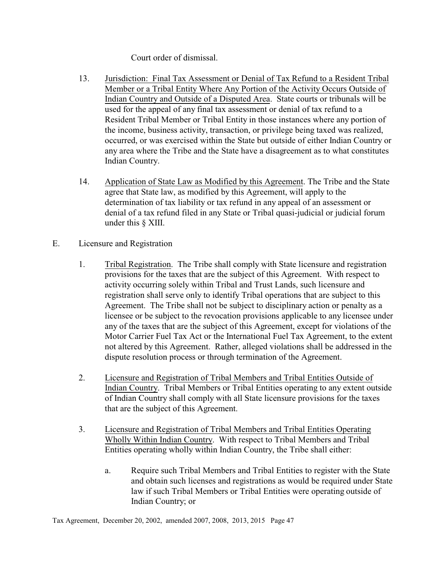Court order of dismissal.

- 13. Jurisdiction: Final Tax Assessment or Denial of Tax Refund to a Resident Tribal Member or a Tribal Entity Where Any Portion of the Activity Occurs Outside of Indian Country and Outside of a Disputed Area. State courts or tribunals will be used for the appeal of any final tax assessment or denial of tax refund to a Resident Tribal Member or Tribal Entity in those instances where any portion of the income, business activity, transaction, or privilege being taxed was realized, occurred, or was exercised within the State but outside of either Indian Country or any area where the Tribe and the State have a disagreement as to what constitutes Indian Country.
- 14. Application of State Law as Modified by this Agreement. The Tribe and the State agree that State law, as modified by this Agreement, will apply to the determination of tax liability or tax refund in any appeal of an assessment or denial of a tax refund filed in any State or Tribal quasi-judicial or judicial forum under this § XIII.
- E. Licensure and Registration
	- 1. Tribal Registration. The Tribe shall comply with State licensure and registration provisions for the taxes that are the subject of this Agreement. With respect to activity occurring solely within Tribal and Trust Lands, such licensure and registration shall serve only to identify Tribal operations that are subject to this Agreement. The Tribe shall not be subject to disciplinary action or penalty as a licensee or be subject to the revocation provisions applicable to any licensee under any of the taxes that are the subject of this Agreement, except for violations of the Motor Carrier Fuel Tax Act or the International Fuel Tax Agreement, to the extent not altered by this Agreement. Rather, alleged violations shall be addressed in the dispute resolution process or through termination of the Agreement.
	- 2. Licensure and Registration of Tribal Members and Tribal Entities Outside of Indian Country. Tribal Members or Tribal Entities operating to any extent outside of Indian Country shall comply with all State licensure provisions for the taxes that are the subject of this Agreement.
	- 3. Licensure and Registration of Tribal Members and Tribal Entities Operating Wholly Within Indian Country. With respect to Tribal Members and Tribal Entities operating wholly within Indian Country, the Tribe shall either:
		- a. Require such Tribal Members and Tribal Entities to register with the State and obtain such licenses and registrations as would be required under State law if such Tribal Members or Tribal Entities were operating outside of Indian Country; or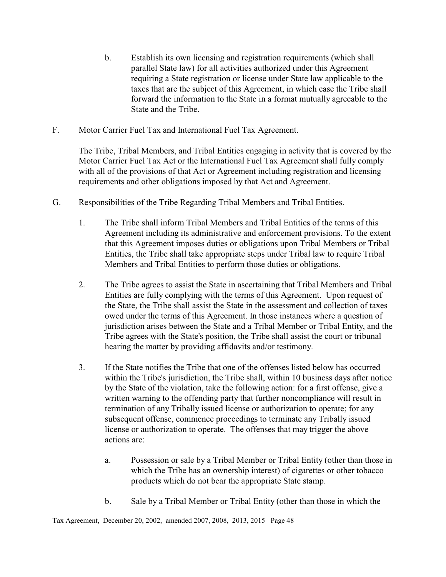- b. Establish its own licensing and registration requirements (which shall parallel State law) for all activities authorized under this Agreement requiring a State registration or license under State law applicable to the taxes that are the subject of this Agreement, in which case the Tribe shall forward the information to the State in a format mutually agreeable to the State and the Tribe.
- F. Motor Carrier Fuel Tax and International Fuel Tax Agreement.

The Tribe, Tribal Members, and Tribal Entities engaging in activity that is covered by the Motor Carrier Fuel Tax Act or the International Fuel Tax Agreement shall fully comply with all of the provisions of that Act or Agreement including registration and licensing requirements and other obligations imposed by that Act and Agreement.

- G. Responsibilities of the Tribe Regarding Tribal Members and Tribal Entities.
	- 1. The Tribe shall inform Tribal Members and Tribal Entities of the terms of this Agreement including its administrative and enforcement provisions. To the extent that this Agreement imposes duties or obligations upon Tribal Members or Tribal Entities, the Tribe shall take appropriate steps under Tribal law to require Tribal Members and Tribal Entities to perform those duties or obligations.
	- 2. The Tribe agrees to assist the State in ascertaining that Tribal Members and Tribal Entities are fully complying with the terms of this Agreement. Upon request of the State, the Tribe shall assist the State in the assessment and collection of taxes owed under the terms of this Agreement. In those instances where a question of jurisdiction arises between the State and a Tribal Member or Tribal Entity, and the Tribe agrees with the State's position, the Tribe shall assist the court or tribunal hearing the matter by providing affidavits and/or testimony.
	- 3. If the State notifies the Tribe that one of the offenses listed below has occurred within the Tribe's jurisdiction, the Tribe shall, within 10 business days after notice by the State of the violation, take the following action: for a first offense, give a written warning to the offending party that further noncompliance will result in termination of any Tribally issued license or authorization to operate; for any subsequent offense, commence proceedings to terminate any Tribally issued license or authorization to operate. The offenses that may trigger the above actions are:
		- a. Possession or sale by a Tribal Member or Tribal Entity (other than those in which the Tribe has an ownership interest) of cigarettes or other tobacco products which do not bear the appropriate State stamp.
		- b. Sale by a Tribal Member or Tribal Entity (other than those in which the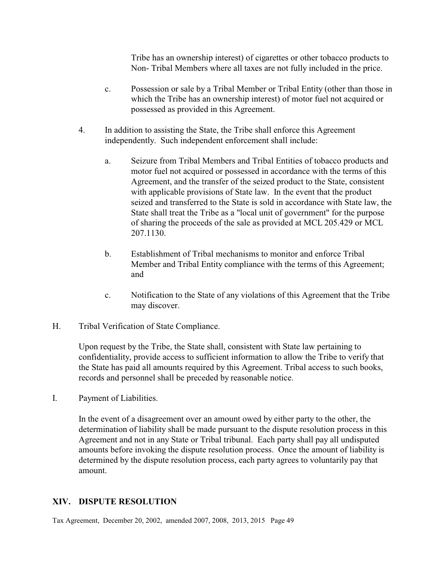Tribe has an ownership interest) of cigarettes or other tobacco products to Non- Tribal Members where all taxes are not fully included in the price.

- c. Possession or sale by a Tribal Member or Tribal Entity (other than those in which the Tribe has an ownership interest) of motor fuel not acquired or possessed as provided in this Agreement.
- 4. In addition to assisting the State, the Tribe shall enforce this Agreement independently. Such independent enforcement shall include:
	- a. Seizure from Tribal Members and Tribal Entities of tobacco products and motor fuel not acquired or possessed in accordance with the terms of this Agreement, and the transfer of the seized product to the State, consistent with applicable provisions of State law. In the event that the product seized and transferred to the State is sold in accordance with State law, the State shall treat the Tribe as a "local unit of government" for the purpose of sharing the proceeds of the sale as provided at MCL 205.429 or MCL 207.1130.
	- b. Establishment of Tribal mechanisms to monitor and enforce Tribal Member and Tribal Entity compliance with the terms of this Agreement; and
	- c. Notification to the State of any violations of this Agreement that the Tribe may discover.
- H. Tribal Verification of State Compliance.

Upon request by the Tribe, the State shall, consistent with State law pertaining to confidentiality, provide access to sufficient information to allow the Tribe to verify that the State has paid all amounts required by this Agreement. Tribal access to such books, records and personnel shall be preceded by reasonable notice.

I. Payment of Liabilities.

In the event of a disagreement over an amount owed by either party to the other, the determination of liability shall be made pursuant to the dispute resolution process in this Agreement and not in any State or Tribal tribunal. Each party shall pay all undisputed amounts before invoking the dispute resolution process. Once the amount of liability is determined by the dispute resolution process, each party agrees to voluntarily pay that amount.

#### **XIV. DISPUTE RESOLUTION**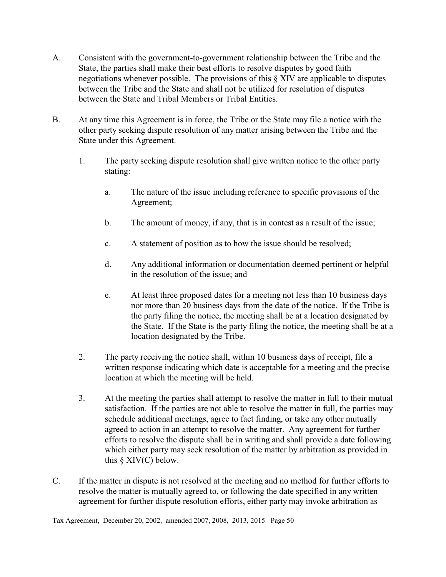- A. Consistent with the government-to-government relationship between the Tribe and the State, the parties shall make their best efforts to resolve disputes by good faith negotiations whenever possible. The provisions of this § XIV are applicable to disputes between the Tribe and the State and shall not be utilized for resolution of disputes between the State and Tribal Members or Tribal Entities.
- B. At any time this Agreement is in force, the Tribe or the State may file a notice with the other party seeking dispute resolution of any matter arising between the Tribe and the State under this Agreement.
	- 1. The party seeking dispute resolution shall give written notice to the other party stating:
		- a. The nature of the issue including reference to specific provisions of the Agreement;
		- b. The amount of money, if any, that is in contest as a result of the issue;
		- c. A statement of position as to how the issue should be resolved;
		- d. Any additional information or documentation deemed pertinent or helpful in the resolution of the issue; and
		- e. At least three proposed dates for a meeting not less than 10 business days nor more than 20 business days from the date of the notice. If the Tribe is the party filing the notice, the meeting shall be at a location designated by the State. If the State is the party filing the notice, the meeting shall be at a location designated by the Tribe.
	- 2. The party receiving the notice shall, within 10 business days of receipt, file a written response indicating which date is acceptable for a meeting and the precise location at which the meeting will be held.
	- 3. At the meeting the parties shall attempt to resolve the matter in full to their mutual satisfaction. If the parties are not able to resolve the matter in full, the parties may schedule additional meetings, agree to fact finding, or take any other mutually agreed to action in an attempt to resolve the matter. Any agreement for further efforts to resolve the dispute shall be in writing and shall provide a date following which either party may seek resolution of the matter by arbitration as provided in this  $\S$  XIV(C) below.
- C. If the matter in dispute is not resolved at the meeting and no method for further efforts to resolve the matter is mutually agreed to, or following the date specified in any written agreement for further dispute resolution efforts, either party may invoke arbitration as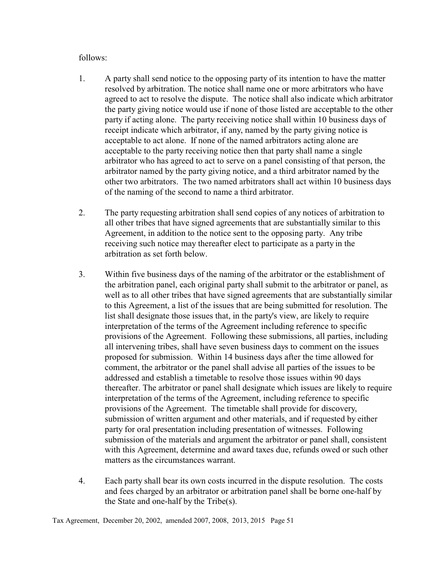#### follows:

- 1. A party shall send notice to the opposing party of its intention to have the matter resolved by arbitration. The notice shall name one or more arbitrators who have agreed to act to resolve the dispute. The notice shall also indicate which arbitrator the party giving notice would use if none of those listed are acceptable to the other party if acting alone. The party receiving notice shall within 10 business days of receipt indicate which arbitrator, if any, named by the party giving notice is acceptable to act alone. If none of the named arbitrators acting alone are acceptable to the party receiving notice then that party shall name a single arbitrator who has agreed to act to serve on a panel consisting of that person, the arbitrator named by the party giving notice, and a third arbitrator named by the other two arbitrators. The two named arbitrators shall act within 10 business days of the naming of the second to name a third arbitrator.
- 2. The party requesting arbitration shall send copies of any notices of arbitration to all other tribes that have signed agreements that are substantially similar to this Agreement, in addition to the notice sent to the opposing party. Any tribe receiving such notice may thereafter elect to participate as a party in the arbitration as set forth below.
- 3. Within five business days of the naming of the arbitrator or the establishment of the arbitration panel, each original party shall submit to the arbitrator or panel, as well as to all other tribes that have signed agreements that are substantially similar to this Agreement, a list of the issues that are being submitted for resolution. The list shall designate those issues that, in the party's view, are likely to require interpretation of the terms of the Agreement including reference to specific provisions of the Agreement. Following these submissions, all parties, including all intervening tribes, shall have seven business days to comment on the issues proposed for submission. Within 14 business days after the time allowed for comment, the arbitrator or the panel shall advise all parties of the issues to be addressed and establish a timetable to resolve those issues within 90 days thereafter. The arbitrator or panel shall designate which issues are likely to require interpretation of the terms of the Agreement, including reference to specific provisions of the Agreement. The timetable shall provide for discovery, submission of written argument and other materials, and if requested by either party for oral presentation including presentation of witnesses. Following submission of the materials and argument the arbitrator or panel shall, consistent with this Agreement, determine and award taxes due, refunds owed or such other matters as the circumstances warrant.
- 4. Each party shall bear its own costs incurred in the dispute resolution. The costs and fees charged by an arbitrator or arbitration panel shall be borne one-half by the State and one-half by the Tribe(s).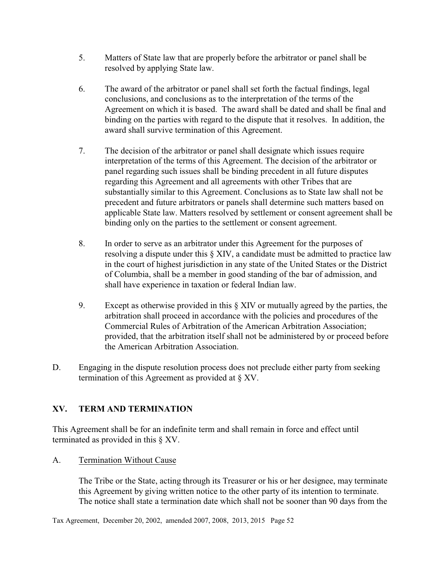- 5. Matters of State law that are properly before the arbitrator or panel shall be resolved by applying State law.
- 6. The award of the arbitrator or panel shall set forth the factual findings, legal conclusions, and conclusions as to the interpretation of the terms of the Agreement on which it is based. The award shall be dated and shall be final and binding on the parties with regard to the dispute that it resolves. In addition, the award shall survive termination of this Agreement.
- 7. The decision of the arbitrator or panel shall designate which issues require interpretation of the terms of this Agreement. The decision of the arbitrator or panel regarding such issues shall be binding precedent in all future disputes regarding this Agreement and all agreements with other Tribes that are substantially similar to this Agreement. Conclusions as to State law shall not be precedent and future arbitrators or panels shall determine such matters based on applicable State law. Matters resolved by settlement or consent agreement shall be binding only on the parties to the settlement or consent agreement.
- 8. In order to serve as an arbitrator under this Agreement for the purposes of resolving a dispute under this § XIV, a candidate must be admitted to practice law in the court of highest jurisdiction in any state of the United States or the District of Columbia, shall be a member in good standing of the bar of admission, and shall have experience in taxation or federal Indian law.
- 9. Except as otherwise provided in this § XIV or mutually agreed by the parties, the arbitration shall proceed in accordance with the policies and procedures of the Commercial Rules of Arbitration of the American Arbitration Association; provided, that the arbitration itself shall not be administered by or proceed before the American Arbitration Association.
- D. Engaging in the dispute resolution process does not preclude either party from seeking termination of this Agreement as provided at § XV.

# **XV. TERM AND TERMINATION**

This Agreement shall be for an indefinite term and shall remain in force and effect until terminated as provided in this § XV.

## A. Termination Without Cause

The Tribe or the State, acting through its Treasurer or his or her designee, may terminate this Agreement by giving written notice to the other party of its intention to terminate. The notice shall state a termination date which shall not be sooner than 90 days from the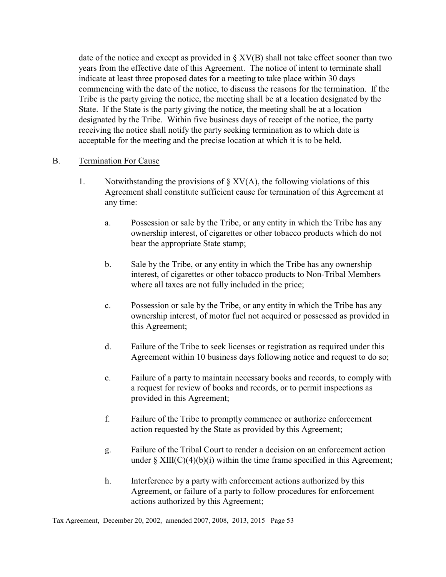date of the notice and except as provided in  $\S XV(B)$  shall not take effect sooner than two years from the effective date of this Agreement. The notice of intent to terminate shall indicate at least three proposed dates for a meeting to take place within 30 days commencing with the date of the notice, to discuss the reasons for the termination. If the Tribe is the party giving the notice, the meeting shall be at a location designated by the State. If the State is the party giving the notice, the meeting shall be at a location designated by the Tribe. Within five business days of receipt of the notice, the party receiving the notice shall notify the party seeking termination as to which date is acceptable for the meeting and the precise location at which it is to be held.

#### B. Termination For Cause

- 1. Notwithstanding the provisions of  $\S XV(A)$ , the following violations of this Agreement shall constitute sufficient cause for termination of this Agreement at any time:
	- a. Possession or sale by the Tribe, or any entity in which the Tribe has any ownership interest, of cigarettes or other tobacco products which do not bear the appropriate State stamp;
	- b. Sale by the Tribe, or any entity in which the Tribe has any ownership interest, of cigarettes or other tobacco products to Non-Tribal Members where all taxes are not fully included in the price;
	- c. Possession or sale by the Tribe, or any entity in which the Tribe has any ownership interest, of motor fuel not acquired or possessed as provided in this Agreement;
	- d. Failure of the Tribe to seek licenses or registration as required under this Agreement within 10 business days following notice and request to do so;
	- e. Failure of a party to maintain necessary books and records, to comply with a request for review of books and records, or to permit inspections as provided in this Agreement;
	- f. Failure of the Tribe to promptly commence or authorize enforcement action requested by the State as provided by this Agreement;
	- g. Failure of the Tribal Court to render a decision on an enforcement action under  $\S$  XIII(C)(4)(b)(i) within the time frame specified in this Agreement;
	- h. Interference by a party with enforcement actions authorized by this Agreement, or failure of a party to follow procedures for enforcement actions authorized by this Agreement;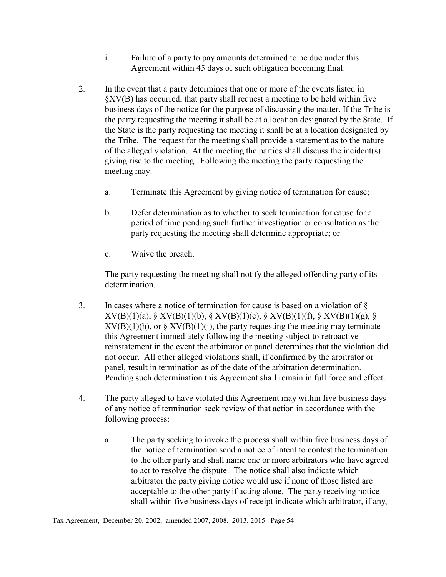- i. Failure of a party to pay amounts determined to be due under this Agreement within 45 days of such obligation becoming final.
- 2. In the event that a party determines that one or more of the events listed in §XV(B) has occurred, that party shall request a meeting to be held within five business days of the notice for the purpose of discussing the matter. If the Tribe is the party requesting the meeting it shall be at a location designated by the State. If the State is the party requesting the meeting it shall be at a location designated by the Tribe. The request for the meeting shall provide a statement as to the nature of the alleged violation. At the meeting the parties shall discuss the incident(s) giving rise to the meeting. Following the meeting the party requesting the meeting may:
	- a. Terminate this Agreement by giving notice of termination for cause;
	- b. Defer determination as to whether to seek termination for cause for a period of time pending such further investigation or consultation as the party requesting the meeting shall determine appropriate; or
	- c. Waive the breach.

The party requesting the meeting shall notify the alleged offending party of its determination.

- 3. In cases where a notice of termination for cause is based on a violation of § XV(B)(1)(a), § XV(B)(1)(b), § XV(B)(1)(c), § XV(B)(1)(f), § XV(B)(1)(g), §  $XV(B)(1)(h)$ , or  $\S XV(B)(1)(i)$ , the party requesting the meeting may terminate this Agreement immediately following the meeting subject to retroactive reinstatement in the event the arbitrator or panel determines that the violation did not occur. All other alleged violations shall, if confirmed by the arbitrator or panel, result in termination as of the date of the arbitration determination. Pending such determination this Agreement shall remain in full force and effect.
- 4. The party alleged to have violated this Agreement may within five business days of any notice of termination seek review of that action in accordance with the following process:
	- a. The party seeking to invoke the process shall within five business days of the notice of termination send a notice of intent to contest the termination to the other party and shall name one or more arbitrators who have agreed to act to resolve the dispute. The notice shall also indicate which arbitrator the party giving notice would use if none of those listed are acceptable to the other party if acting alone. The party receiving notice shall within five business days of receipt indicate which arbitrator, if any,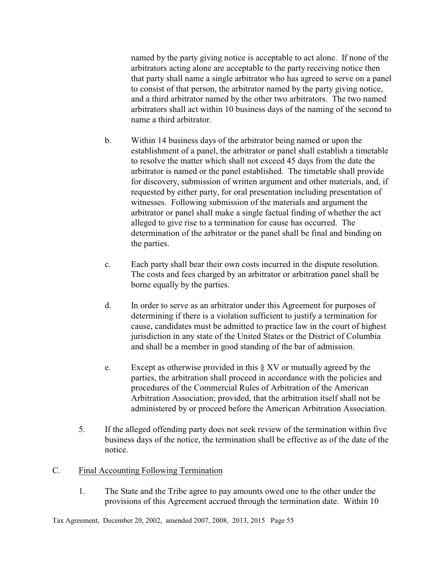named by the party giving notice is acceptable to act alone. If none of the arbitrators acting alone are acceptable to the party receiving notice then that party shall name a single arbitrator who has agreed to serve on a panel to consist of that person, the arbitrator named by the party giving notice, and a third arbitrator named by the other two arbitrators. The two named arbitrators shall act within 10 business days of the naming of the second to name a third arbitrator.

- b. Within 14 business days of the arbitrator being named or upon the establishment of a panel, the arbitrator or panel shall establish a timetable to resolve the matter which shall not exceed 45 days from the date the arbitrator is named or the panel established. The timetable shall provide for discovery, submission of written argument and other materials, and, if requested by either party, for oral presentation including presentation of witnesses. Following submission of the materials and argument the arbitrator or panel shall make a single factual finding of whether the act alleged to give rise to a termination for cause has occurred. The determination of the arbitrator or the panel shall be final and binding on the parties.
- c. Each party shall bear their own costs incurred in the dispute resolution. The costs and fees charged by an arbitrator or arbitration panel shall be borne equally by the parties.
- d. In order to serve as an arbitrator under this Agreement for purposes of determining if there is a violation sufficient to justify a termination for cause, candidates must be admitted to practice law in the court of highest jurisdiction in any state of the United States or the District of Columbia and shall be a member in good standing of the bar of admission.
- e. Except as otherwise provided in this § XV or mutually agreed by the parties, the arbitration shall proceed in accordance with the policies and procedures of the Commercial Rules of Arbitration of the American Arbitration Association; provided, that the arbitration itself shall not be administered by or proceed before the American Arbitration Association.
- 5. If the alleged offending party does not seek review of the termination within five business days of the notice, the termination shall be effective as of the date of the notice.

#### C. Final Accounting Following Termination

1. The State and the Tribe agree to pay amounts owed one to the other under the provisions of this Agreement accrued through the termination date. Within 10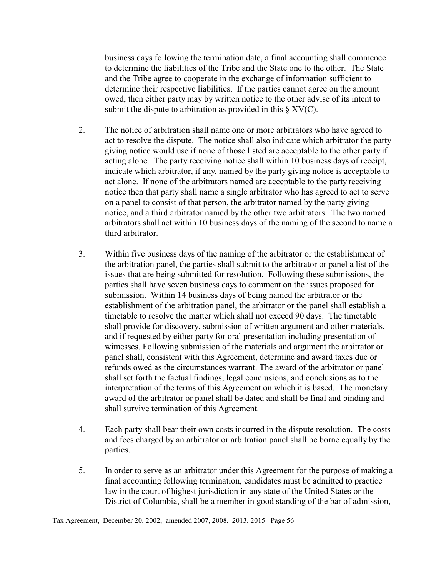business days following the termination date, a final accounting shall commence to determine the liabilities of the Tribe and the State one to the other. The State and the Tribe agree to cooperate in the exchange of information sufficient to determine their respective liabilities. If the parties cannot agree on the amount owed, then either party may by written notice to the other advise of its intent to submit the dispute to arbitration as provided in this  $\S XV(C)$ .

- 2. The notice of arbitration shall name one or more arbitrators who have agreed to act to resolve the dispute. The notice shall also indicate which arbitrator the party giving notice would use if none of those listed are acceptable to the other party if acting alone. The party receiving notice shall within 10 business days of receipt, indicate which arbitrator, if any, named by the party giving notice is acceptable to act alone. If none of the arbitrators named are acceptable to the party receiving notice then that party shall name a single arbitrator who has agreed to act to serve on a panel to consist of that person, the arbitrator named by the party giving notice, and a third arbitrator named by the other two arbitrators. The two named arbitrators shall act within 10 business days of the naming of the second to name a third arbitrator.
- 3. Within five business days of the naming of the arbitrator or the establishment of the arbitration panel, the parties shall submit to the arbitrator or panel a list of the issues that are being submitted for resolution. Following these submissions, the parties shall have seven business days to comment on the issues proposed for submission. Within 14 business days of being named the arbitrator or the establishment of the arbitration panel, the arbitrator or the panel shall establish a timetable to resolve the matter which shall not exceed 90 days. The timetable shall provide for discovery, submission of written argument and other materials, and if requested by either party for oral presentation including presentation of witnesses. Following submission of the materials and argument the arbitrator or panel shall, consistent with this Agreement, determine and award taxes due or refunds owed as the circumstances warrant. The award of the arbitrator or panel shall set forth the factual findings, legal conclusions, and conclusions as to the interpretation of the terms of this Agreement on which it is based. The monetary award of the arbitrator or panel shall be dated and shall be final and binding and shall survive termination of this Agreement.
- 4. Each party shall bear their own costs incurred in the dispute resolution. The costs and fees charged by an arbitrator or arbitration panel shall be borne equally by the parties.
- 5. In order to serve as an arbitrator under this Agreement for the purpose of making a final accounting following termination, candidates must be admitted to practice law in the court of highest jurisdiction in any state of the United States or the District of Columbia, shall be a member in good standing of the bar of admission,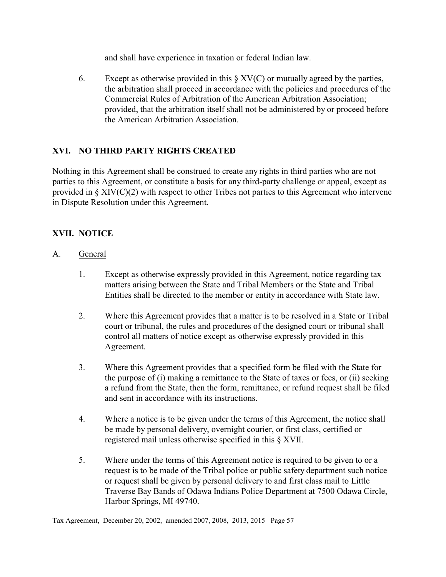and shall have experience in taxation or federal Indian law.

6. Except as otherwise provided in this  $\S XV(C)$  or mutually agreed by the parties, the arbitration shall proceed in accordance with the policies and procedures of the Commercial Rules of Arbitration of the American Arbitration Association; provided, that the arbitration itself shall not be administered by or proceed before the American Arbitration Association.

# **XVI. NO THIRD PARTY RIGHTS CREATED**

Nothing in this Agreement shall be construed to create any rights in third parties who are not parties to this Agreement, or constitute a basis for any third-party challenge or appeal, except as provided in § XIV(C)(2) with respect to other Tribes not parties to this Agreement who intervene in Dispute Resolution under this Agreement.

## **XVII. NOTICE**

- A. General
	- 1. Except as otherwise expressly provided in this Agreement, notice regarding tax matters arising between the State and Tribal Members or the State and Tribal Entities shall be directed to the member or entity in accordance with State law.
	- 2. Where this Agreement provides that a matter is to be resolved in a State or Tribal court or tribunal, the rules and procedures of the designed court or tribunal shall control all matters of notice except as otherwise expressly provided in this Agreement.
	- 3. Where this Agreement provides that a specified form be filed with the State for the purpose of (i) making a remittance to the State of taxes or fees, or (ii) seeking a refund from the State, then the form, remittance, or refund request shall be filed and sent in accordance with its instructions.
	- 4. Where a notice is to be given under the terms of this Agreement, the notice shall be made by personal delivery, overnight courier, or first class, certified or registered mail unless otherwise specified in this § XVII.
	- 5. Where under the terms of this Agreement notice is required to be given to or a request is to be made of the Tribal police or public safety department such notice or request shall be given by personal delivery to and first class mail to Little Traverse Bay Bands of Odawa Indians Police Department at 7500 Odawa Circle, Harbor Springs, MI 49740.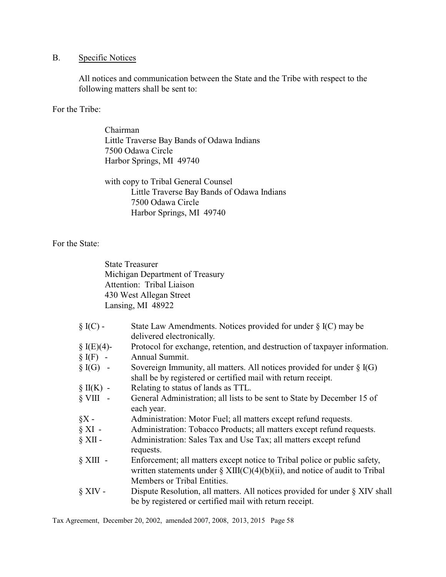## B. Specific Notices

All notices and communication between the State and the Tribe with respect to the following matters shall be sent to:

For the Tribe:

Chairman Little Traverse Bay Bands of Odawa Indians 7500 Odawa Circle Harbor Springs, MI 49740

with copy to Tribal General Counsel Little Traverse Bay Bands of Odawa Indians 7500 Odawa Circle Harbor Springs, MI 49740

For the State:

State Treasurer Michigan Department of Treasury Attention: Tribal Liaison 430 West Allegan Street Lansing, MI 48922

| $\S$ I(C) -   | State Law Amendments. Notices provided for under $\S$ I(C) may be                                                                                           |
|---------------|-------------------------------------------------------------------------------------------------------------------------------------------------------------|
|               | delivered electronically.                                                                                                                                   |
| § $I(E)(4)$ - | Protocol for exchange, retention, and destruction of taxpayer information.                                                                                  |
| $\S$ I(F) -   | Annual Summit.                                                                                                                                              |
| $\S$ I(G) -   | Sovereign Immunity, all matters. All notices provided for under $\S$ I(G)<br>shall be by registered or certified mail with return receipt.                  |
| $\S$ II(K) -  | Relating to status of lands as TTL.                                                                                                                         |
| $\S$ VIII $-$ | General Administration; all lists to be sent to State by December 15 of                                                                                     |
|               | each year.                                                                                                                                                  |
| $\S X$ -      | Administration: Motor Fuel; all matters except refund requests.                                                                                             |
| $\S$ XI -     | Administration: Tobacco Products; all matters except refund requests.                                                                                       |
| $\S$ XII -    | Administration: Sales Tax and Use Tax; all matters except refund<br>requests.                                                                               |
| $\S$ XIII -   | Enforcement; all matters except notice to Tribal police or public safety,<br>written statements under $\S$ XIII(C)(4)(b)(ii), and notice of audit to Tribal |
|               | Members or Tribal Entities.                                                                                                                                 |
| $\S$ XIV -    | Dispute Resolution, all matters. All notices provided for under $\S$ XIV shall                                                                              |
|               | be by registered or certified mail with return receipt.                                                                                                     |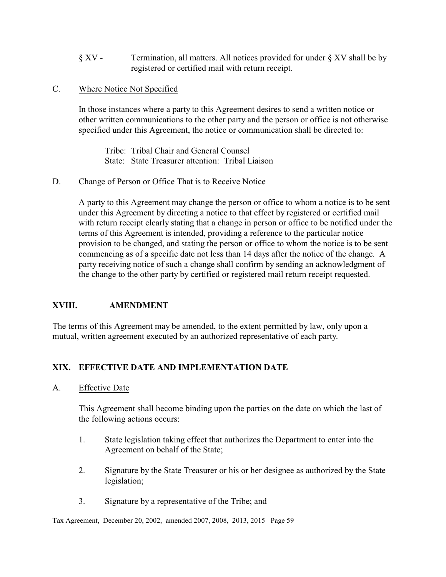- § XV Termination, all matters. All notices provided for under § XV shall be by registered or certified mail with return receipt.
- C. Where Notice Not Specified

In those instances where a party to this Agreement desires to send a written notice or other written communications to the other party and the person or office is not otherwise specified under this Agreement, the notice or communication shall be directed to:

Tribe: Tribal Chair and General Counsel State: State Treasurer attention: Tribal Liaison

## D. Change of Person or Office That is to Receive Notice

A party to this Agreement may change the person or office to whom a notice is to be sent under this Agreement by directing a notice to that effect by registered or certified mail with return receipt clearly stating that a change in person or office to be notified under the terms of this Agreement is intended, providing a reference to the particular notice provision to be changed, and stating the person or office to whom the notice is to be sent commencing as of a specific date not less than 14 days after the notice of the change. A party receiving notice of such a change shall confirm by sending an acknowledgment of the change to the other party by certified or registered mail return receipt requested.

## **XVIII. AMENDMENT**

The terms of this Agreement may be amended, to the extent permitted by law, only upon a mutual, written agreement executed by an authorized representative of each party.

# **XIX. EFFECTIVE DATE AND IMPLEMENTATION DATE**

A. Effective Date

This Agreement shall become binding upon the parties on the date on which the last of the following actions occurs:

- 1. State legislation taking effect that authorizes the Department to enter into the Agreement on behalf of the State;
- 2. Signature by the State Treasurer or his or her designee as authorized by the State legislation;
- 3. Signature by a representative of the Tribe; and